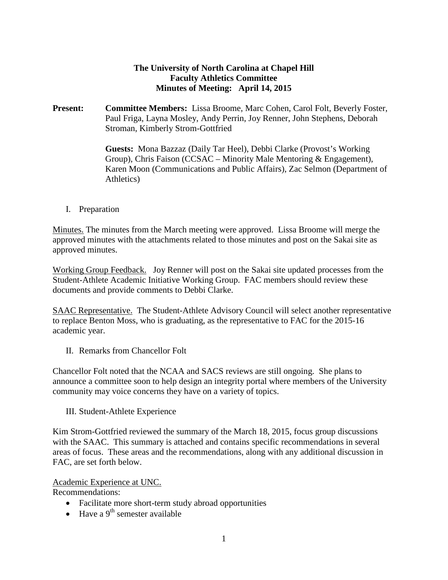#### **The University of North Carolina at Chapel Hill Faculty Athletics Committee Minutes of Meeting: April 14, 2015**

**Present: Committee Members:** Lissa Broome, Marc Cohen, Carol Folt, Beverly Foster, Paul Friga, Layna Mosley, Andy Perrin, Joy Renner, John Stephens, Deborah Stroman, Kimberly Strom-Gottfried

> **Guests:** Mona Bazzaz (Daily Tar Heel), Debbi Clarke (Provost's Working Group), Chris Faison (CCSAC – Minority Male Mentoring & Engagement), Karen Moon (Communications and Public Affairs), Zac Selmon (Department of Athletics)

I. Preparation

Minutes. The minutes from the March meeting were approved. Lissa Broome will merge the approved minutes with the attachments related to those minutes and post on the Sakai site as approved minutes.

Working Group Feedback. Joy Renner will post on the Sakai site updated processes from the Student-Athlete Academic Initiative Working Group. FAC members should review these documents and provide comments to Debbi Clarke.

SAAC Representative. The Student-Athlete Advisory Council will select another representative to replace Benton Moss, who is graduating, as the representative to FAC for the 2015-16 academic year.

II. Remarks from Chancellor Folt

Chancellor Folt noted that the NCAA and SACS reviews are still ongoing. She plans to announce a committee soon to help design an integrity portal where members of the University community may voice concerns they have on a variety of topics.

III. Student-Athlete Experience

Kim Strom-Gottfried reviewed the summary of the March 18, 2015, focus group discussions with the SAAC. This summary is attached and contains specific recommendations in several areas of focus. These areas and the recommendations, along with any additional discussion in FAC, are set forth below.

#### Academic Experience at UNC.

Recommendations:

- Facilitate more short-term study abroad opportunities
- Have a  $9^{th}$  semester available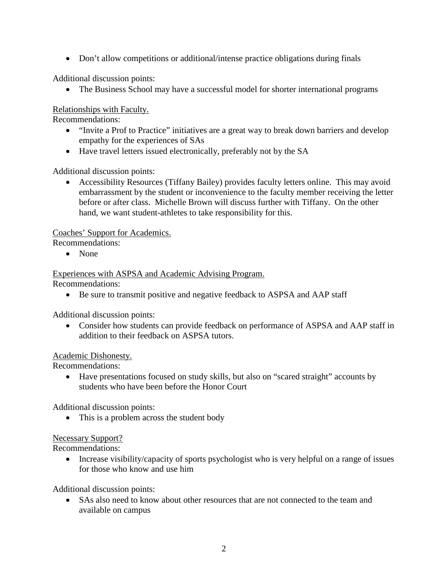• Don't allow competitions or additional/intense practice obligations during finals

Additional discussion points:

• The Business School may have a successful model for shorter international programs

Relationships with Faculty.

Recommendations:

- "Invite a Prof to Practice" initiatives are a great way to break down barriers and develop empathy for the experiences of SAs
- Have travel letters issued electronically, preferably not by the SA

Additional discussion points:

• Accessibility Resources (Tiffany Bailey) provides faculty letters online. This may avoid embarrassment by the student or inconvenience to the faculty member receiving the letter before or after class. Michelle Brown will discuss further with Tiffany. On the other hand, we want student-athletes to take responsibility for this.

Coaches' Support for Academics.

Recommendations:

• None

Experiences with ASPSA and Academic Advising Program.

Recommendations:

• Be sure to transmit positive and negative feedback to ASPSA and AAP staff

Additional discussion points:

• Consider how students can provide feedback on performance of ASPSA and AAP staff in addition to their feedback on ASPSA tutors.

#### Academic Dishonesty.

Recommendations:

• Have presentations focused on study skills, but also on "scared straight" accounts by students who have been before the Honor Court

Additional discussion points:

• This is a problem across the student body

### Necessary Support?

Recommendations:

• Increase visibility/capacity of sports psychologist who is very helpful on a range of issues for those who know and use him

Additional discussion points:

• SAs also need to know about other resources that are not connected to the team and available on campus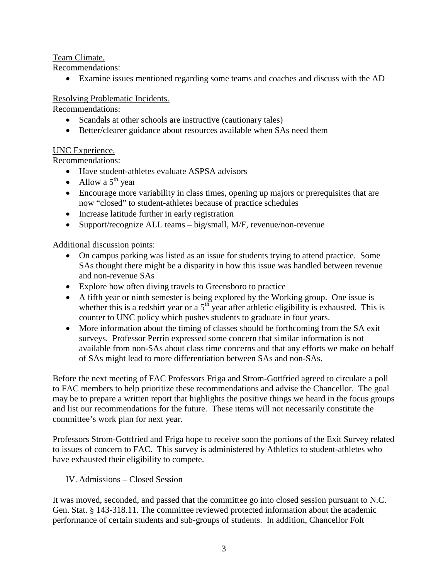Team Climate.

Recommendations:

• Examine issues mentioned regarding some teams and coaches and discuss with the AD

#### Resolving Problematic Incidents.

Recommendations:

- Scandals at other schools are instructive (cautionary tales)
- Better/clearer guidance about resources available when SAs need them

#### UNC Experience.

Recommendations:

- Have student-athletes evaluate ASPSA advisors
- Allow a  $5^{\text{th}}$  year
- Encourage more variability in class times, opening up majors or prerequisites that are now "closed" to student-athletes because of practice schedules
- Increase latitude further in early registration
- Support/recognize ALL teams big/small, M/F, revenue/non-revenue

Additional discussion points:

- On campus parking was listed as an issue for students trying to attend practice. Some SAs thought there might be a disparity in how this issue was handled between revenue and non-revenue SAs
- Explore how often diving travels to Greensboro to practice
- A fifth year or ninth semester is being explored by the Working group. One issue is whether this is a redshirt year or a  $5<sup>th</sup>$  year after athletic eligibility is exhausted. This is counter to UNC policy which pushes students to graduate in four years.
- More information about the timing of classes should be forthcoming from the SA exit surveys. Professor Perrin expressed some concern that similar information is not available from non-SAs about class time concerns and that any efforts we make on behalf of SAs might lead to more differentiation between SAs and non-SAs.

Before the next meeting of FAC Professors Friga and Strom-Gottfried agreed to circulate a poll to FAC members to help prioritize these recommendations and advise the Chancellor. The goal may be to prepare a written report that highlights the positive things we heard in the focus groups and list our recommendations for the future. These items will not necessarily constitute the committee's work plan for next year.

Professors Strom-Gottfried and Friga hope to receive soon the portions of the Exit Survey related to issues of concern to FAC. This survey is administered by Athletics to student-athletes who have exhausted their eligibility to compete.

IV. Admissions – Closed Session

It was moved, seconded, and passed that the committee go into closed session pursuant to N.C. Gen. Stat. § 143-318.11. The committee reviewed protected information about the academic performance of certain students and sub-groups of students. In addition, Chancellor Folt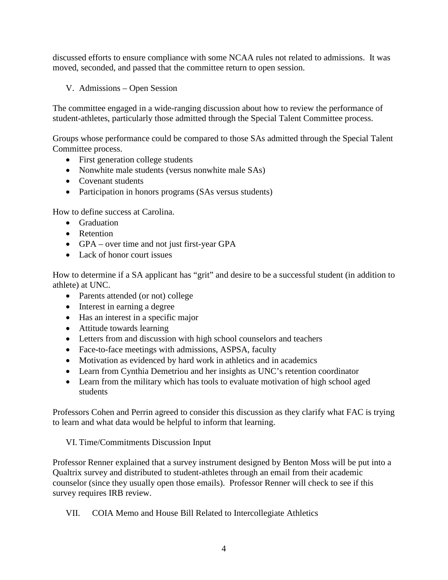discussed efforts to ensure compliance with some NCAA rules not related to admissions. It was moved, seconded, and passed that the committee return to open session.

V. Admissions – Open Session

The committee engaged in a wide-ranging discussion about how to review the performance of student-athletes, particularly those admitted through the Special Talent Committee process.

Groups whose performance could be compared to those SAs admitted through the Special Talent Committee process.

- First generation college students
- Nonwhite male students (versus nonwhite male SAs)
- Covenant students
- Participation in honors programs (SAs versus students)

How to define success at Carolina.

- Graduation
- Retention
- GPA over time and not just first-year GPA
- Lack of honor court issues

How to determine if a SA applicant has "grit" and desire to be a successful student (in addition to athlete) at UNC.

- Parents attended (or not) college
- Interest in earning a degree
- Has an interest in a specific major
- Attitude towards learning
- Letters from and discussion with high school counselors and teachers
- Face-to-face meetings with admissions, ASPSA, faculty
- Motivation as evidenced by hard work in athletics and in academics
- Learn from Cynthia Demetriou and her insights as UNC's retention coordinator
- Learn from the military which has tools to evaluate motivation of high school aged students

Professors Cohen and Perrin agreed to consider this discussion as they clarify what FAC is trying to learn and what data would be helpful to inform that learning.

VI. Time/Commitments Discussion Input

Professor Renner explained that a survey instrument designed by Benton Moss will be put into a Qualtrix survey and distributed to student-athletes through an email from their academic counselor (since they usually open those emails). Professor Renner will check to see if this survey requires IRB review.

VII. COIA Memo and House Bill Related to Intercollegiate Athletics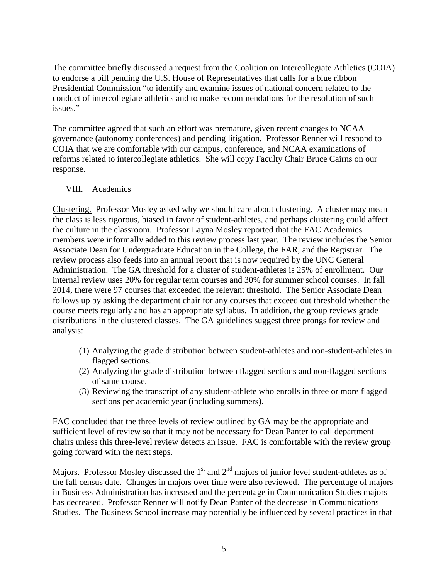The committee briefly discussed a request from the Coalition on Intercollegiate Athletics (COIA) to endorse a bill pending the U.S. House of Representatives that calls for a blue ribbon Presidential Commission "to identify and examine issues of national concern related to the conduct of intercollegiate athletics and to make recommendations for the resolution of such issues."

The committee agreed that such an effort was premature, given recent changes to NCAA governance (autonomy conferences) and pending litigation. Professor Renner will respond to COIA that we are comfortable with our campus, conference, and NCAA examinations of reforms related to intercollegiate athletics. She will copy Faculty Chair Bruce Cairns on our response.

#### VIII. Academics

Clustering. Professor Mosley asked why we should care about clustering. A cluster may mean the class is less rigorous, biased in favor of student-athletes, and perhaps clustering could affect the culture in the classroom. Professor Layna Mosley reported that the FAC Academics members were informally added to this review process last year. The review includes the Senior Associate Dean for Undergraduate Education in the College, the FAR, and the Registrar. The review process also feeds into an annual report that is now required by the UNC General Administration. The GA threshold for a cluster of student-athletes is 25% of enrollment. Our internal review uses 20% for regular term courses and 30% for summer school courses. In fall 2014, there were 97 courses that exceeded the relevant threshold. The Senior Associate Dean follows up by asking the department chair for any courses that exceed out threshold whether the course meets regularly and has an appropriate syllabus. In addition, the group reviews grade distributions in the clustered classes. The GA guidelines suggest three prongs for review and analysis:

- (1) Analyzing the grade distribution between student-athletes and non-student-athletes in flagged sections.
- (2) Analyzing the grade distribution between flagged sections and non-flagged sections of same course.
- (3) Reviewing the transcript of any student-athlete who enrolls in three or more flagged sections per academic year (including summers).

FAC concluded that the three levels of review outlined by GA may be the appropriate and sufficient level of review so that it may not be necessary for Dean Panter to call department chairs unless this three-level review detects an issue. FAC is comfortable with the review group going forward with the next steps.

Majors. Professor Mosley discussed the  $1<sup>st</sup>$  and  $2<sup>nd</sup>$  majors of junior level student-athletes as of the fall census date. Changes in majors over time were also reviewed. The percentage of majors in Business Administration has increased and the percentage in Communication Studies majors has decreased. Professor Renner will notify Dean Panter of the decrease in Communications Studies. The Business School increase may potentially be influenced by several practices in that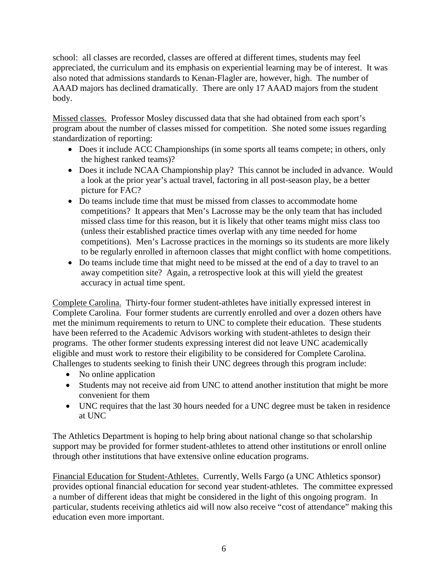school: all classes are recorded, classes are offered at different times, students may feel appreciated, the curriculum and its emphasis on experiential learning may be of interest. It was also noted that admissions standards to Kenan-Flagler are, however, high. The number of AAAD majors has declined dramatically. There are only 17 AAAD majors from the student body.

Missed classes. Professor Mosley discussed data that she had obtained from each sport's program about the number of classes missed for competition. She noted some issues regarding standardization of reporting:

- Does it include ACC Championships (in some sports all teams compete; in others, only the highest ranked teams)?
- Does it include NCAA Championship play? This cannot be included in advance. Would a look at the prior year's actual travel, factoring in all post-season play, be a better picture for FAC?
- Do teams include time that must be missed from classes to accommodate home competitions? It appears that Men's Lacrosse may be the only team that has included missed class time for this reason, but it is likely that other teams might miss class too (unless their established practice times overlap with any time needed for home competitions). Men's Lacrosse practices in the mornings so its students are more likely to be regularly enrolled in afternoon classes that might conflict with home competitions.
- Do teams include time that might need to be missed at the end of a day to travel to an away competition site? Again, a retrospective look at this will yield the greatest accuracy in actual time spent.

Complete Carolina. Thirty-four former student-athletes have initially expressed interest in Complete Carolina. Four former students are currently enrolled and over a dozen others have met the minimum requirements to return to UNC to complete their education. These students have been referred to the Academic Advisors working with student-athletes to design their programs. The other former students expressing interest did not leave UNC academically eligible and must work to restore their eligibility to be considered for Complete Carolina. Challenges to students seeking to finish their UNC degrees through this program include:

- No online application
- Students may not receive aid from UNC to attend another institution that might be more convenient for them
- UNC requires that the last 30 hours needed for a UNC degree must be taken in residence at UNC

The Athletics Department is hoping to help bring about national change so that scholarship support may be provided for former student-athletes to attend other institutions or enroll online through other institutions that have extensive online education programs.

Financial Education for Student-Athletes. Currently, Wells Fargo (a UNC Athletics sponsor) provides optional financial education for second year student-athletes. The committee expressed a number of different ideas that might be considered in the light of this ongoing program. In particular, students receiving athletics aid will now also receive "cost of attendance" making this education even more important.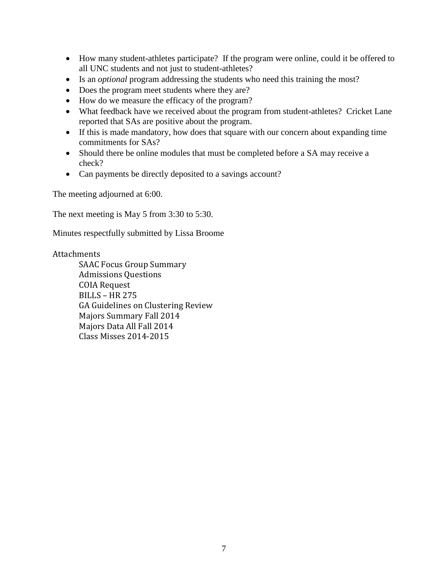- How many student-athletes participate? If the program were online, could it be offered to all UNC students and not just to student-athletes?
- Is an *optional* program addressing the students who need this training the most?
- Does the program meet students where they are?
- How do we measure the efficacy of the program?
- What feedback have we received about the program from student-athletes? Cricket Lane reported that SAs are positive about the program.
- If this is made mandatory, how does that square with our concern about expanding time commitments for SAs?
- Should there be online modules that must be completed before a SA may receive a check?
- Can payments be directly deposited to a savings account?

The meeting adjourned at 6:00.

The next meeting is May 5 from 3:30 to 5:30.

Minutes respectfully submitted by Lissa Broome

#### Attachments

SAAC Focus Group Summary Admissions Questions COIA Request BILLS – HR 275 GA Guidelines on Clustering Review Majors Summary Fall 2014 Majors Data All Fall 2014 Class Misses 2014-2015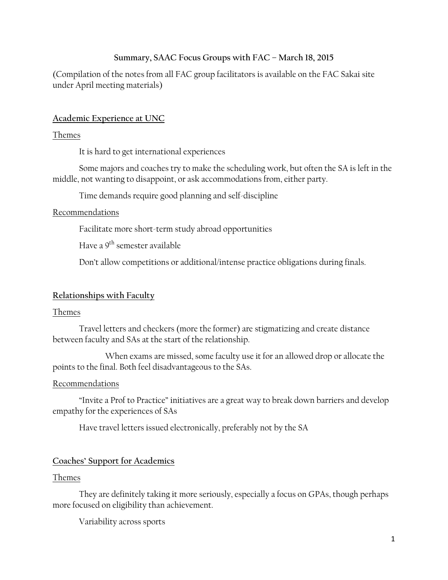#### **Summary, SAAC Focus Groups with FAC – March 18, 2015**

(Compilation of the notes from all FAC group facilitators is available on the FAC Sakai site under April meeting materials)

### **Academic Experience at UNC**

#### Themes

It is hard to get international experiences

Some majors and coaches try to make the scheduling work, but often the SA is left in the middle, not wanting to disappoint, or ask accommodations from, either party.

Time demands require good planning and self-discipline

### Recommendations

Facilitate more short-term study abroad opportunities

Have a 9<sup>th</sup> semester available

Don't allow competitions or additional/intense practice obligations during finals.

### **Relationships with Faculty**

### Themes

Travel letters and checkers (more the former) are stigmatizing and create distance between faculty and SAs at the start of the relationship.

When exams are missed, some faculty use it for an allowed drop or allocate the points to the final. Both feel disadvantageous to the SAs.

### Recommendations

"Invite a Prof to Practice" initiatives are a great way to break down barriers and develop empathy for the experiences of SAs

Have travel letters issued electronically, preferably not by the SA

### **Coaches' Support for Academics**

#### Themes

They are definitely taking it more seriously, especially a focus on GPAs, though perhaps more focused on eligibility than achievement.

Variability across sports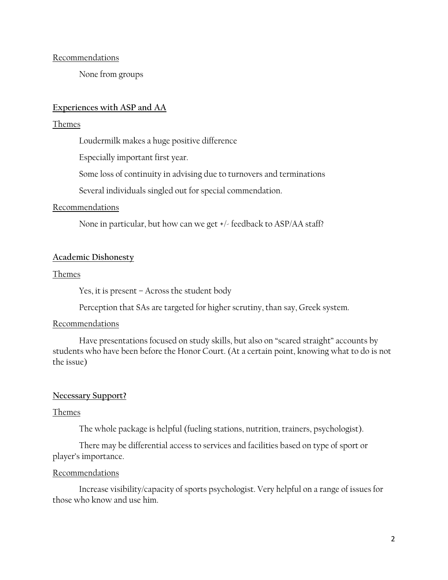**Recommendations** 

None from groups

#### **Experiences with ASP and AA**

#### Themes

Loudermilk makes a huge positive difference

Especially important first year.

Some loss of continuity in advising due to turnovers and terminations

Several individuals singled out for special commendation.

#### Recommendations

None in particular, but how can we get +/- feedback to ASP/AA staff?

#### **Academic Dishonesty**

#### Themes

Yes, it is present – Across the student body

Perception that SAs are targeted for higher scrutiny, than say, Greek system.

#### Recommendations

Have presentations focused on study skills, but also on "scared straight" accounts by students who have been before the Honor Court. (At a certain point, knowing what to do is not the issue)

#### **Necessary Support?**

#### Themes

The whole package is helpful (fueling stations, nutrition, trainers, psychologist).

There may be differential access to services and facilities based on type of sport or player's importance.

#### Recommendations

Increase visibility/capacity of sports psychologist. Very helpful on a range of issues for those who know and use him.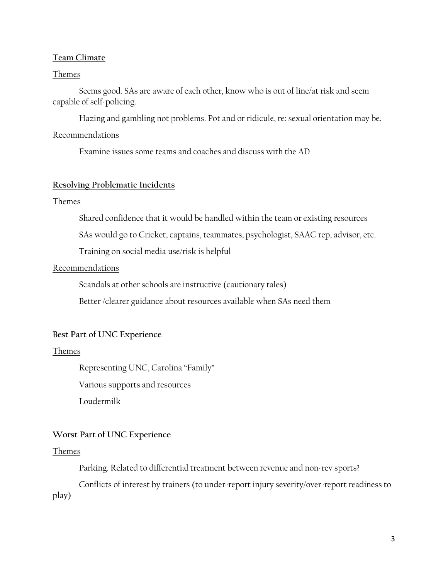#### **Team Climate**

#### Themes

Seems good. SAs are aware of each other, know who is out of line/at risk and seem capable of self-policing.

Hazing and gambling not problems. Pot and or ridicule, re: sexual orientation may be.

#### Recommendations

Examine issues some teams and coaches and discuss with the AD

#### **Resolving Problematic Incidents**

#### Themes

Shared confidence that it would be handled within the team or existing resources

SAs would go to Cricket, captains, teammates, psychologist, SAAC rep, advisor, etc.

Training on social media use/risk is helpful

#### Recommendations

Scandals at other schools are instructive (cautionary tales)

Better /clearer guidance about resources available when SAs need them

#### **Best Part of UNC Experience**

#### Themes

Representing UNC, Carolina "Family"

Various supports and resources

Loudermilk

#### **Worst Part of UNC Experience**

#### Themes

Parking. Related to differential treatment between revenue and non-rev sports?

Conflicts of interest by trainers (to under-report injury severity/over-report readiness to play)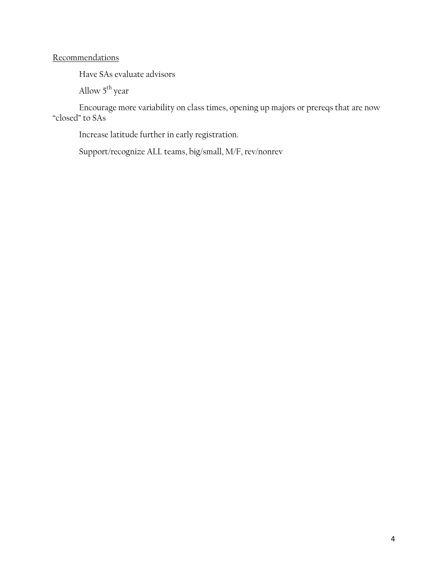### **Recommendations**

Have SAs evaluate advisors

Allow 5<sup>th</sup> year

Encourage more variability on class times, opening up majors or prereqs that are now "closed" to SAs

Increase latitude further in early registration.

Support/recognize ALL teams, big/small, M/F, rev/nonrev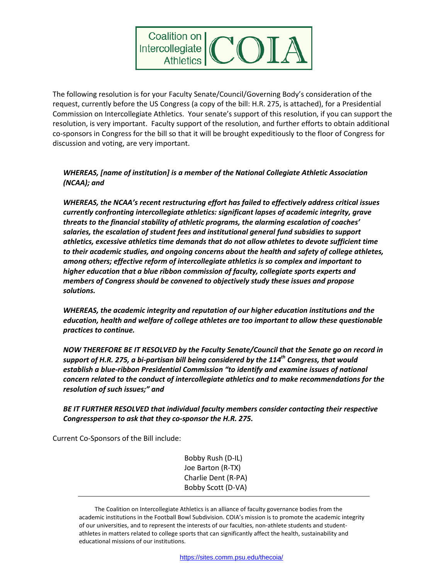

The following resolution is for your Faculty Senate/Council/Governing Body's consideration of the request, currently before the US Congress (a copy of the bill: H.R. 275, is attached), for a Presidential Commission on Intercollegiate Athletics. Your senate's support of this resolution, if you can support the resolution, is very important. Faculty support of the resolution, and further efforts to obtain additional co-sponsors in Congress for the bill so that it will be brought expeditiously to the floor of Congress for discussion and voting, are very important.

#### *WHEREAS, [name of institution] is a member of the National Collegiate Athletic Association (NCAA); and*

*WHEREAS, the NCAA's recent restructuring effort has failed to effectively address critical issues currently confronting intercollegiate athletics: significant lapses of academic integrity, grave threats to the financial stability of athletic programs, the alarming escalation of coaches' salaries, the escalation of student fees and institutional general fund subsidies to support athletics, excessive athletics time demands that do not allow athletes to devote sufficient time to their academic studies, and ongoing concerns about the health and safety of college athletes, among others; effective reform of intercollegiate athletics is so complex and important to higher education that a blue ribbon commission of faculty, collegiate sports experts and members of Congress should be convened to objectively study these issues and propose solutions.*

*WHEREAS, the academic integrity and reputation of our higher education institutions and the education, health and welfare of college athletes are too important to allow these questionable practices to continue.*

*NOW THEREFORE BE IT RESOLVED by the Faculty Senate/Council that the Senate go on record in support of H.R. 275, a bi-partisan bill being considered by the 114th Congress, that would establish a blue-ribbon Presidential Commission "to identify and examine issues of national concern related to the conduct of intercollegiate athletics and to make recommendations for the resolution of such issues;" and*

*BE IT FURTHER RESOLVED that individual faculty members consider contacting their respective Congressperson to ask that they co-sponsor the H.R. 275.*

Current Co-Sponsors of the Bill include:

Bobby Rush (D-IL) Joe Barton (R-TX) Charlie Dent (R-PA) Bobby Scott (D-VA)

The Coalition on Intercollegiate Athletics is an alliance of faculty governance bodies from the academic institutions in the Football Bowl Subdivision. COIA's mission is to promote the academic integrity of our universities, and to represent the interests of our faculties, non-athlete students and studentathletes in matters related to college sports that can significantly affect the health, sustainability and educational missions of our institutions.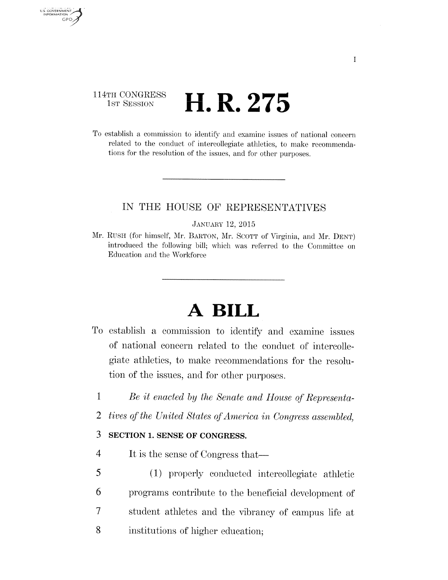#### 114TH CONGRESS H.R. 275 1ST SESSION

U.S. GOVERNMENT GPO.

> To establish a commission to identify and examine issues of national concern related to the conduct of intercollegiate athletics, to make recommendations for the resolution of the issues, and for other purposes.

### IN THE HOUSE OF REPRESENTATIVES

#### **JANUARY 12, 2015**

Mr. RUSH (for himself, Mr. BARTON, Mr. SCOTT of Virginia, and Mr. DENT) introduced the following bill; which was referred to the Committee on Education and the Workforce

# A BILL

- To establish a commission to identify and examine issues of national concern related to the conduct of intercollegiate athletics, to make recommendations for the resolution of the issues, and for other purposes.
	- $\mathbf{1}$ Be it enacted by the Senate and House of Representa-
	- $\overline{2}$ tives of the United States of America in Congress assembled.

#### 3 SECTION 1. SENSE OF CONGRESS.

- $\overline{4}$ It is the sense of Congress that—
- 5 (1) properly conducted intercollegiate athletic 6 programs contribute to the beneficial development of  $\tau$ student athletes and the vibrancy of campus life at 8 institutions of higher education;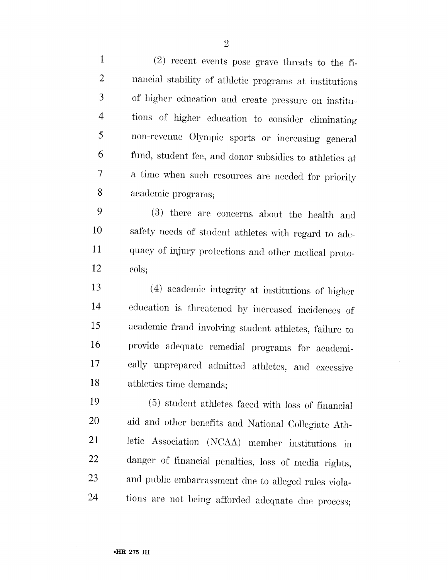$\mathbf{1}$ (2) recent events pose grave threats to the fi- $\overline{2}$ nancial stability of athletic programs at institutions 3 of higher education and create pressure on institutions of higher education to consider eliminating  $\overline{4}$ 5 non-revenue Olympic sports or increasing general 6 fund, student fee, and donor subsidies to athletics at a time when such resources are needed for priority  $\overline{\mathcal{U}}$ 8 academic programs;

9 (3) there are concerns about the health and 10 safety needs of student athletes with regard to ade-11 quacy of injury protections and other medical proto-12 cols;

13 (4) academic integrity at institutions of higher 14 education is threatened by increased incidences of 15 academic fraud involving student athletes, failure to 16 provide adequate remedial programs for academi-17 cally unprepared admitted athletes, and excessive 18 athletics time demands;

19 (5) student athletes faced with loss of financial 20 aid and other benefits and National Collegiate Ath-21 letic Association (NCAA) member institutions in danger of financial penalties, loss of media rights, 22 and public embarrassment due to alleged rules viola-23 24 tions are not being afforded adequate due process;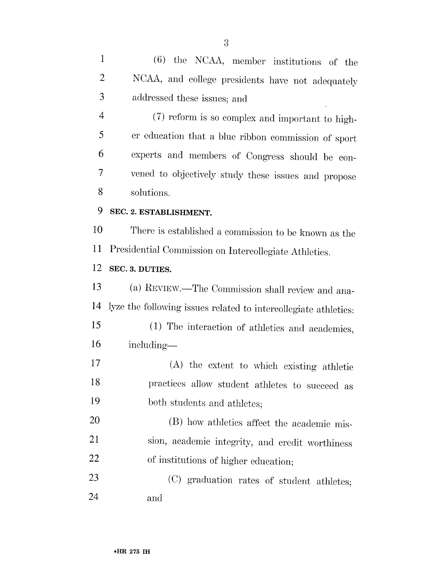(6) the NCAA, member institutions of the  $\mathbf{1}$  $\overline{2}$ NCAA, and college presidents have not adequately 3 addressed these issues; and

(7) reform is so complex and important to high- $\overline{4}$ er education that a blue ribbon commission of sport 5 experts and members of Congress should be con-6 vened to objectively study these issues and propose 7 8 solutions.

9 SEC. 2. ESTABLISHMENT.

10 There is established a commission to be known as the Presidential Commission on Intercollegiate Athletics. 11

12 SEC. 3. DUTIES.

13 (a) REVIEW.—The Commission shall review and analyze the following issues related to intercollegiate athletics: 14

- 15 (1) The interaction of athletics and academics, 16 including—
- 17 (A) the extent to which existing athletic practices allow student athletes to succeed as 18 19 both students and athletes.

20 (B) how athletics affect the academic mis-21 sion, academic integrity, and credit worthiness 22 of institutions of higher education;

23 (C) graduation rates of student athletes; 24 and

 $\overline{3}$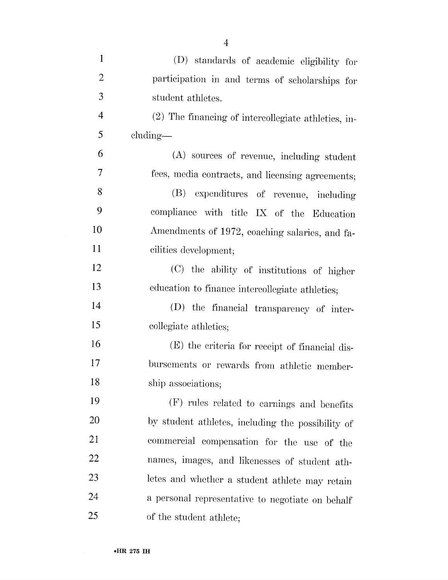| $\mathbf{1}$   | (D) standards of academic eligibility for           |
|----------------|-----------------------------------------------------|
| $\overline{2}$ | participation in and terms of scholarships for      |
| 3              | student athletes.                                   |
| 4              | (2) The financing of intercollegiate athletics, in- |
| 5              | cluding—                                            |
| 6              | (A) sources of revenue, including student           |
| 7              | fees, media contracts, and licensing agreements;    |
| 8              | (B)<br>expenditures of revenue, including           |
| 9              | compliance with title IX of the Education           |
| 10             | Amendments of 1972, coaching salaries, and fa-      |
| 11             | cilities development;                               |
| 12             | (C) the ability of institutions of higher           |
| 13             | education to finance intercollegiate athletics;     |
| 14             | (D) the financial transparency of inter-            |
| 15             | collegiate athletics;                               |
| 16             | (E) the criteria for receipt of financial dis-      |
| 17             | bursements or rewards from athletic member-         |
| 18             | ship associations;                                  |
| 19             | (F) rules related to earnings and benefits          |
| 20             | by student athletes, including the possibility of   |
| 21             | commercial compensation for the use of the          |
| 22             | names, images, and likenesses of student ath-       |
| 23             | letes and whether a student athlete may retain      |
| 24             | a personal representative to negotiate on behalf    |
| 25             | of the student athlete;                             |

 $\overline{4}$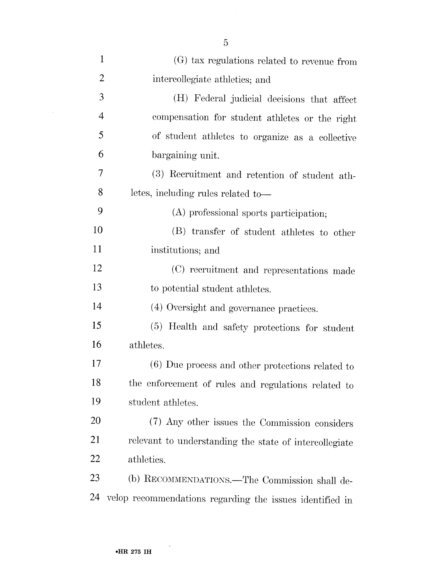| $\mathbf{1}$   | (G) tax regulations related to revenue from              |
|----------------|----------------------------------------------------------|
| $\overline{2}$ | intercollegiate athletics; and                           |
| 3              | (H) Federal judicial decisions that affect               |
| $\overline{4}$ | compensation for student athletes or the right           |
| 5              | of student athletes to organize as a collective          |
| 6              | bargaining unit.                                         |
| 7              | (3) Recruitment and retention of student ath-            |
| 8              | letes, including rules related to-                       |
| 9              | (A) professional sports participation;                   |
| 10             | (B) transfer of student athletes to other                |
| 11             | institutions; and                                        |
| 12             | (C) recruitment and representations made                 |
| 13             | to potential student athletes.                           |
| 14             | (4) Oversight and governance practices.                  |
| 15             | (5) Health and safety protections for student            |
| 16             | athletes.                                                |
| 17             | (6) Due process and other protections related to         |
| 18             | the enforcement of rules and regulations related to      |
| 19             | student athletes.                                        |
| <b>20</b>      | (7) Any other issues the Commission considers            |
| 21             | relevant to understanding the state of intercollegiate   |
| 22             | athletics.                                               |
| 23             | (b) RECOMMENDATIONS.—The Commission shall de-            |
| 24             | velop recommendations regarding the issues identified in |

 $\theta_7$ 

 $\mathcal{A}^{\pm}$ 

 $\overline{5}$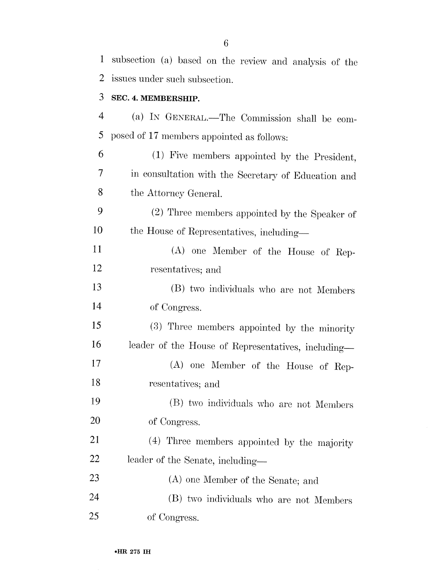| $\mathbf{1}$   | subsection (a) based on the review and analysis of the |
|----------------|--------------------------------------------------------|
| 2              | issues under such subsection.                          |
| 3              | SEC. 4. MEMBERSHIP.                                    |
| $\overline{4}$ | (a) IN GENERAL.—The Commission shall be com-           |
| 5              | posed of 17 members appointed as follows:              |
| 6              | (1) Five members appointed by the President,           |
| 7              | in consultation with the Secretary of Education and    |
| 8              | the Attorney General.                                  |
| 9              | (2) Three members appointed by the Speaker of          |
| 10             | the House of Representatives, including-               |
| 11             | (A) one Member of the House of Rep-                    |
| 12             | resentatives; and                                      |
| 13             | (B) two individuals who are not Members                |
| 14             | of Congress.                                           |
| 15             | (3) Three members appointed by the minority            |
| 16             | leader of the House of Representatives, including-     |
| 17             | (A) one Member of the House of Rep-                    |
| 18             | resentatives; and                                      |
| 19             | (B) two individuals who are not Members                |
| <b>20</b>      | of Congress.                                           |
| 21             | (4) Three members appointed by the majority            |
| 22             | leader of the Senate, including-                       |
| 23             | (A) one Member of the Senate; and                      |
| 24             | (B) two individuals who are not Members                |
| 25             | of Congress.                                           |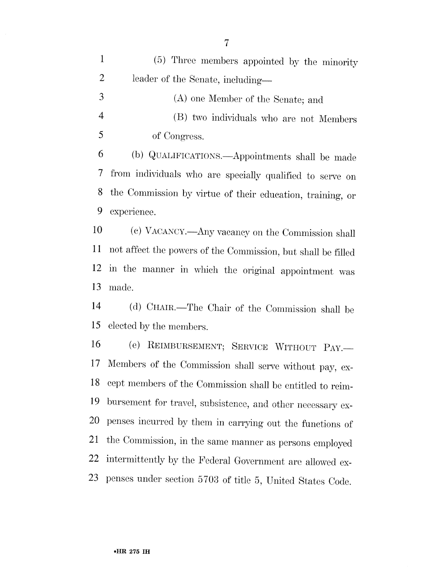$\mathbf{1}$ (5) Three members appointed by the minority  $\overline{2}$ leader of the Senate, including—

3 (A) one Member of the Senate; and  $\overline{4}$ (B) two individuals who are not Members  $\overline{5}$ of Congress.

(b) QUALIFICATIONS.—Appointments shall be made 6 from individuals who are specially qualified to serve on 7 the Commission by virtue of their education, training, or 8 9 experience.

10 (c) VACANCY.—Any vacancy on the Commission shall not affect the powers of the Commission, but shall be filled 11 in the manner in which the original appointment was 12 13 made.

(d) CHAIR.—The Chair of the Commission shall be 14 elected by the members. 15

16 (e) REIMBURSEMENT; SERVICE WITHOUT PAY. Members of the Commission shall serve without pay, ex-17 cept members of the Commission shall be entitled to reim-18 bursement for travel, subsistence, and other necessary ex-19 penses incurred by them in carrying out the functions of 20 the Commission, in the same manner as persons employed 21 intermittently by the Federal Government are allowed ex-22 penses under section 5703 of title 5, United States Code. 23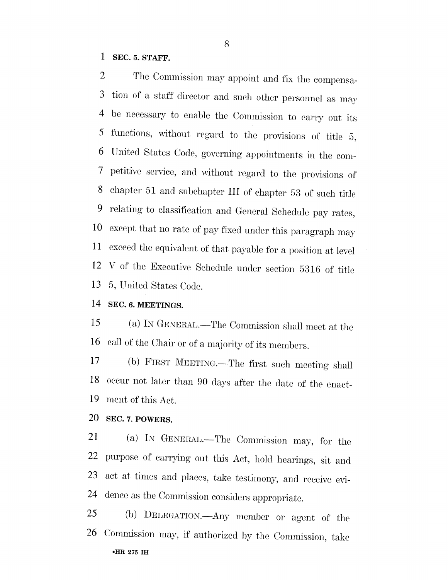$\mathbf{1}$ SEC. 5. STAFF.

 $\overline{2}$ The Commission may appoint and fix the compensation of a staff director and such other personnel as may 3 be necessary to enable the Commission to carry out its  $\overline{4}$ functions, without regard to the provisions of title 5, 5 United States Code, governing appointments in the com-6 petitive service, and without regard to the provisions of 7 chapter 51 and subchapter III of chapter 53 of such title 8 relating to classification and General Schedule pay rates, 9 except that no rate of pay fixed under this paragraph may 10 exceed the equivalent of that payable for a position at level 11 V of the Executive Schedule under section 5316 of title 12 13 5, United States Code.

SEC. 6. MEETINGS. 14

15 (a) IN GENERAL.—The Commission shall meet at the call of the Chair or of a majority of its members. 16

17 (b) FIRST MEETING.—The first such meeting shall occur not later than 90 days after the date of the enact-18 19 ment of this Act.

20 SEC. 7. POWERS.

21 (a) IN GENERAL.—The Commission may, for the purpose of carrying out this Act, hold hearings, sit and 22 act at times and places, take testimony, and receive evi-23 dence as the Commission considers appropriate. 24

25 (b) DELEGATION.—Any member or agent of the Commission may, if authorized by the Commission, take 26. •HR 275 IH

8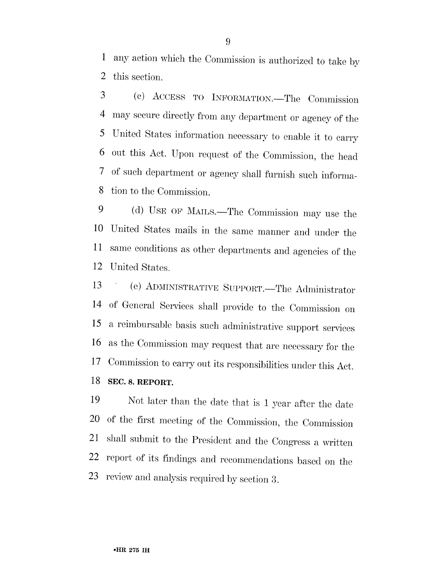any action which the Commission is authorized to take by  $\mathbf{1}$ 2 this section.

3 (c) ACCESS TO INFORMATION. The Commission may secure directly from any department or agency of the 4 United States information necessary to enable it to carry 5 out this Act. Upon request of the Commission, the head 6 of such department or agency shall furnish such informa- $\overline{\mathcal{I}}$ tion to the Commission. 8

9 (d) USE OF MAILS.—The Commission may use the United States mails in the same manner and under the 10 same conditions as other departments and agencies of the 11 12 United States.

(e) ADMINISTRATIVE SUPPORT.—The Administrator 13 of General Services shall provide to the Commission on 14 a reimbursable basis such administrative support services 15 as the Commission may request that are necessary for the 16 Commission to carry out its responsibilities under this Act. 17 18 SEC. 8. REPORT.

19 Not later than the date that is 1 year after the date of the first meeting of the Commission, the Commission 20 shall submit to the President and the Congress a written 21 report of its findings and recommendations based on the 22 review and analysis required by section 3. 23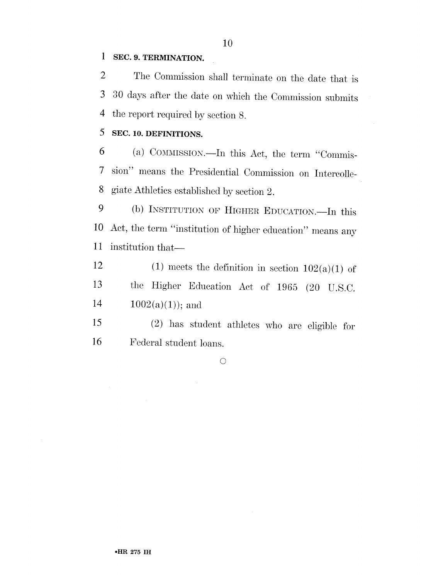#### $\mathbf{1}$ SEC. 9. TERMINATION.

The Commission shall terminate on the date that is  $\overline{2}$  $\overline{3}$ 30 days after the date on which the Commission submits the report required by section 8.  $\overline{4}$ 

#### 5 SEC. 10. DEFINITIONS.

(a) COMMISSION.—In this Act, the term "Commis-6 sion" means the Presidential Commission on Intercolle- $\tau$ giate Athletics established by section 2. 8

9 (b) INSTITUTION OF HIGHER EDUCATION.—In this Act, the term "institution of higher education" means any 10 11 institution that—

12 (1) meets the definition in section  $102(a)(1)$  of 13 the Higher Education Act of 1965 (20 U.S.C. 14  $1002(a)(1)$ ; and

15 (2) has student athletes who are eligible for 16 Federal student loans.

 $\bigcirc$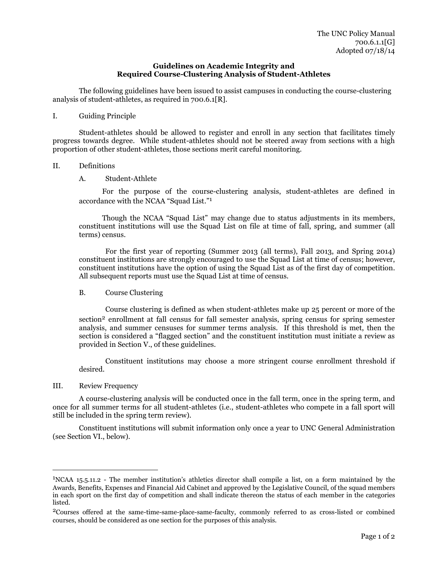#### **Guidelines on Academic Integrity and Required Course-Clustering Analysis of Student-Athletes**

The following guidelines have been issued to assist campuses in conducting the course-clustering analysis of student-athletes, as required in 700.6.1[R].

I. Guiding Principle

Student-athletes should be allowed to register and enroll in any section that facilitates timely progress towards degree. While student-athletes should not be steered away from sections with a high proportion of other student-athletes, those sections merit careful monitoring.

- II. Definitions
	- A. Student-Athlete

For the purpose of the course-clustering analysis, student-athletes are defined in accordance with the NCAA "Squad List." 1

Though the NCAA "Squad List" may change due to status adjustments in its members, constituent institutions will use the Squad List on file at time of fall, spring, and summer (all terms) census.

For the first year of reporting (Summer 2013 (all terms), Fall 2013, and Spring 2014) constituent institutions are strongly encouraged to use the Squad List at time of census; however, constituent institutions have the option of using the Squad List as of the first day of competition. All subsequent reports must use the Squad List at time of census.

#### B. Course Clustering

Course clustering is defined as when student-athletes make up 25 percent or more of the section<sup>2</sup> enrollment at fall census for fall semester analysis, spring census for spring semester analysis, and summer censuses for summer terms analysis. If this threshold is met, then the section is considered a "flagged section" and the constituent institution must initiate a review as provided in Section V., of these guidelines.

Constituent institutions may choose a more stringent course enrollment threshold if desired.

#### III. Review Frequency

 $\overline{a}$ 

A course-clustering analysis will be conducted once in the fall term, once in the spring term, and once for all summer terms for all student-athletes (i.e., student-athletes who compete in a fall sport will still be included in the spring term review).

Constituent institutions will submit information only once a year to UNC General Administration (see Section VI., below).

<sup>1</sup>NCAA 15.5.11.2 - The member institution's athletics director shall compile a list, on a form maintained by the Awards, Benefits, Expenses and Financial Aid Cabinet and approved by the Legislative Council, of the squad members in each sport on the first day of competition and shall indicate thereon the status of each member in the categories listed.

<sup>2</sup>Courses offered at the same-time-same-place-same-faculty, commonly referred to as cross-listed or combined courses, should be considered as one section for the purposes of this analysis.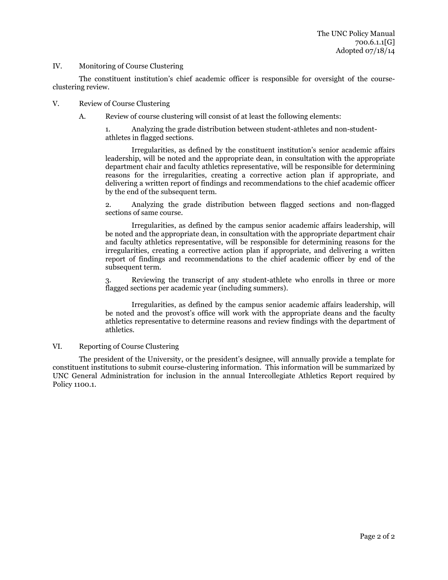#### IV. Monitoring of Course Clustering

The constituent institution's chief academic officer is responsible for oversight of the courseclustering review.

- V. Review of Course Clustering
	- A. Review of course clustering will consist of at least the following elements:

1. Analyzing the grade distribution between student-athletes and non-studentathletes in flagged sections.

Irregularities, as defined by the constituent institution's senior academic affairs leadership, will be noted and the appropriate dean, in consultation with the appropriate department chair and faculty athletics representative, will be responsible for determining reasons for the irregularities, creating a corrective action plan if appropriate, and delivering a written report of findings and recommendations to the chief academic officer by the end of the subsequent term.

2. Analyzing the grade distribution between flagged sections and non-flagged sections of same course.

Irregularities, as defined by the campus senior academic affairs leadership, will be noted and the appropriate dean, in consultation with the appropriate department chair and faculty athletics representative, will be responsible for determining reasons for the irregularities, creating a corrective action plan if appropriate, and delivering a written report of findings and recommendations to the chief academic officer by end of the subsequent term.

3. Reviewing the transcript of any student-athlete who enrolls in three or more flagged sections per academic year (including summers).

Irregularities, as defined by the campus senior academic affairs leadership, will be noted and the provost's office will work with the appropriate deans and the faculty athletics representative to determine reasons and review findings with the department of athletics.

#### VI. Reporting of Course Clustering

The president of the University, or the president's designee, will annually provide a template for constituent institutions to submit course-clustering information. This information will be summarized by UNC General Administration for inclusion in the annual Intercollegiate Athletics Report required by Policy 1100.1.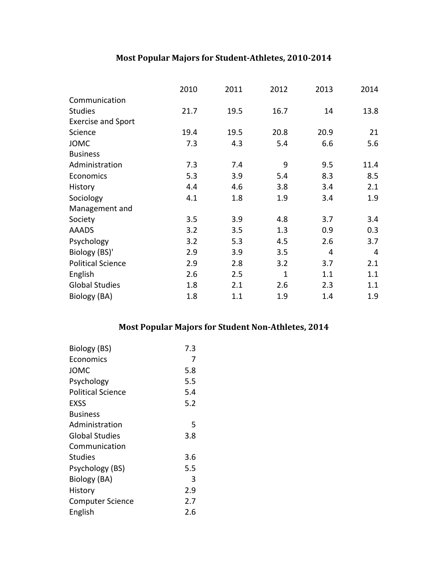# Most Popular Majors for Student-Athletes, 2010-2014

|                           | 2010 | 2011 | 2012         | 2013 | 2014 |
|---------------------------|------|------|--------------|------|------|
| Communication             |      |      |              |      |      |
| <b>Studies</b>            | 21.7 | 19.5 | 16.7         | 14   | 13.8 |
| <b>Exercise and Sport</b> |      |      |              |      |      |
| Science                   | 19.4 | 19.5 | 20.8         | 20.9 | 21   |
| <b>JOMC</b>               | 7.3  | 4.3  | 5.4          | 6.6  | 5.6  |
| <b>Business</b>           |      |      |              |      |      |
| Administration            | 7.3  | 7.4  | 9            | 9.5  | 11.4 |
| Economics                 | 5.3  | 3.9  | 5.4          | 8.3  | 8.5  |
| History                   | 4.4  | 4.6  | 3.8          | 3.4  | 2.1  |
| Sociology                 | 4.1  | 1.8  | 1.9          | 3.4  | 1.9  |
| Management and            |      |      |              |      |      |
| Society                   | 3.5  | 3.9  | 4.8          | 3.7  | 3.4  |
| <b>AAADS</b>              | 3.2  | 3.5  | 1.3          | 0.9  | 0.3  |
| Psychology                | 3.2  | 5.3  | 4.5          | 2.6  | 3.7  |
| Biology (BS)'             | 2.9  | 3.9  | 3.5          | 4    | 4    |
| <b>Political Science</b>  | 2.9  | 2.8  | 3.2          | 3.7  | 2.1  |
| English                   | 2.6  | 2.5  | $\mathbf{1}$ | 1.1  | 1.1  |
| <b>Global Studies</b>     | 1.8  | 2.1  | 2.6          | 2.3  | 1.1  |
| Biology (BA)              | 1.8  | 1.1  | 1.9          | 1.4  | 1.9  |

# Most Popular Majors for Student Non-Athletes, 2014

| Biology (BS)             | 7.3 |
|--------------------------|-----|
| Economics                | 7   |
| JOMC                     | 5.8 |
| Psychology               | 5.5 |
| <b>Political Science</b> | 5.4 |
| EXSS                     | 5.2 |
| <b>Business</b>          |     |
| Administration           | 5   |
| <b>Global Studies</b>    | 3.8 |
| Communication            |     |
| <b>Studies</b>           | 3.6 |
| Psychology (BS)          | 5.5 |
| Biology (BA)             | 3   |
| History                  | 2.9 |
| <b>Computer Science</b>  | 2.7 |
| English                  | 2.6 |
|                          |     |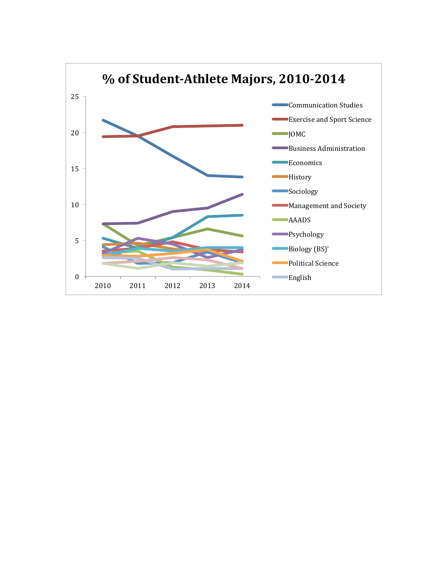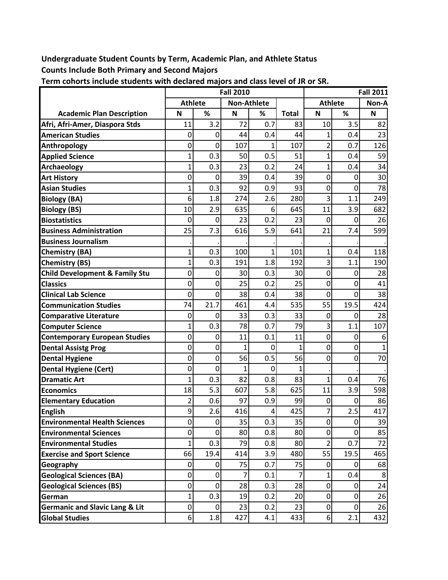# **Undergraduate Student Counts by Term, Academic Plan, and Athlete Status Counts Include Both Primary and Second Majors**

|                                           |                     |                | <b>Fall 2010</b>   | <b>Fall 2011</b> |              |                |      |       |
|-------------------------------------------|---------------------|----------------|--------------------|------------------|--------------|----------------|------|-------|
|                                           | <b>Athlete</b>      |                | <b>Non-Athlete</b> |                  |              | <b>Athlete</b> |      | Non-A |
| <b>Academic Plan Description</b>          | N                   | %              | N                  | %                | <b>Total</b> | N              | %    | N     |
| Afri, Afri-Amer, Diaspora Stds            | 11                  | 3.2            | 72                 | 0.7              | 83           | 10             | 3.5  | 82    |
| <b>American Studies</b>                   | 0                   | 0              | 44                 | 0.4              | 44           | 1              | 0.4  | 23    |
| Anthropology                              | 0                   | 0              | 107                | 1                | 107          | 2              | 0.7  | 126   |
| <b>Applied Science</b>                    | $\mathbf{1}$        | 0.3            | 50                 | 0.5              | 51           | 1              | 0.4  | 59    |
| Archaeology                               | $\mathbf 1$         | 0.3            | 23                 | 0.2              | 24           | 1              | 0.4  | 34    |
| <b>Art History</b>                        | 0                   | 0              | 39                 | 0.4              | 39           | 0              | 0    | 30    |
| <b>Asian Studies</b>                      | $\overline{1}$      | 0.3            | 92                 | 0.9              | 93           | $\mathbf 0$    | 0    | 78    |
| <b>Biology (BA)</b>                       | 6                   | 1.8            | 274                | 2.6              | 280          | 3              | 1.1  | 249   |
| <b>Biology (BS)</b>                       | 10                  | 2.9            | 635                | 6                | 645          | 11             | 3.9  | 682   |
| <b>Biostatistics</b>                      | 0                   | 0              | 23                 | 0.2              | 23           | $\mathbf 0$    | 0    | 26    |
| <b>Business Administration</b>            | 25                  | 7.3            | 616                | 5.9              | 641          | 21             | 7.4  | 599   |
| <b>Business Journalism</b>                |                     |                |                    |                  |              |                |      |       |
| <b>Chemistry (BA)</b>                     | $\overline{1}$      | 0.3            | 100                |                  | 101          | 1              | 0.4  | 118   |
| <b>Chemistry (BS)</b>                     | $\mathbf{1}$        | 0.3            | 191                | 1.8              | 192          | 3              | 1.1  | 190   |
| <b>Child Development &amp; Family Stu</b> | 0                   | 0              | 30                 | 0.3              | 30           | $\mathbf 0$    | 0    | 28    |
| <b>Classics</b>                           | 0                   | 0              | 25                 | 0.2              | 25           | 0              | 0    | 41    |
| <b>Clinical Lab Science</b>               | 0                   | 0              | 38                 | 0.4              | 38           | $\mathbf 0$    | 0    | 38    |
| <b>Communication Studies</b>              | 74                  | 21.7           | 461                | 4.4              | 535          | 55             | 19.5 | 424   |
| <b>Comparative Literature</b>             | 0                   | 0              | 33                 | 0.3              | 33           | $\mathbf 0$    | 0    | 28    |
| <b>Computer Science</b>                   | $\mathbf 1$         | 0.3            | 78                 | 0.7              | 79           | 3              | 1.1  | 107   |
| <b>Contemporary European Studies</b>      | 0                   | 0              | 11                 | 0.1              | 11           | $\mathbf 0$    | 0    | 6     |
| <b>Dental Assistg Prog</b>                | 0                   | 0              | 1                  | 0                | 1            | 0              | 0    |       |
| <b>Dental Hygiene</b>                     | 0                   | 0              | 56                 | 0.5              | 56           | $\mathbf 0$    | 0    | 70    |
| <b>Dental Hygiene (Cert)</b>              | 0                   | 0              | 1                  | 0                | 1            |                |      |       |
| <b>Dramatic Art</b>                       | $\overline{1}$      | 0.3            | 82                 | 0.8              | 83           | $\mathbf{1}$   | 0.4  | 76    |
| <b>Economics</b>                          | 18                  | 5.3            | 607                | 5.8              | 625          | 11             | 3.9  | 598   |
| <b>Elementary Education</b>               | 2                   | 0.6            | 97                 | 0.9              | 99           | $\mathbf 0$    | 0    | 86    |
| <b>English</b>                            | 9                   | 2.6            | 416                | 4                | 425          | 7              | 2.5  | 417   |
| <b>Environmental Health Sciences</b>      | $\mathsf{O}\xspace$ | $\overline{0}$ | 35                 | 0.3              | 35           | $\pmb{0}$      | 0    | 39    |
| <b>Environmental Sciences</b>             | 0                   | 0              | 80                 | 0.8              | 80           | 0              | 0    | 85    |
| <b>Environmental Studies</b>              | $\mathbf{1}$        | 0.3            | 79                 | 0.8              | 80           | $\overline{2}$ | 0.7  | 72    |
| <b>Exercise and Sport Science</b>         | 66                  | 19.4           | 414                | 3.9              | 480          | 55             | 19.5 | 465   |
| Geography                                 | 0                   | 0              | 75                 | 0.7              | 75           | 0              | 0    | 68    |
| <b>Geological Sciences (BA)</b>           | 0                   | 0              | 7                  | 0.1              | 7            | 1              | 0.4  | 8     |
| <b>Geological Sciences (BS)</b>           | 0                   | 0              | 28                 | 0.3              | 28           | 0              | 0    | 24    |
| German                                    | $\mathbf{1}$        | 0.3            | 19                 | 0.2              | 20           | $\mathbf 0$    | 0    | 26    |
| <b>Germanic and Slavic Lang &amp; Lit</b> | $\mathsf{O}\xspace$ | 0              | 23                 | 0.2              | 23           | 0              | 0    | 26    |
| <b>Global Studies</b>                     | $6\vert$            | 1.8            | 427                | 4.1              | 433          | $6 \mid$       | 2.1  | 432   |

**Term cohorts include students with declared majors and class level of JR or SR.**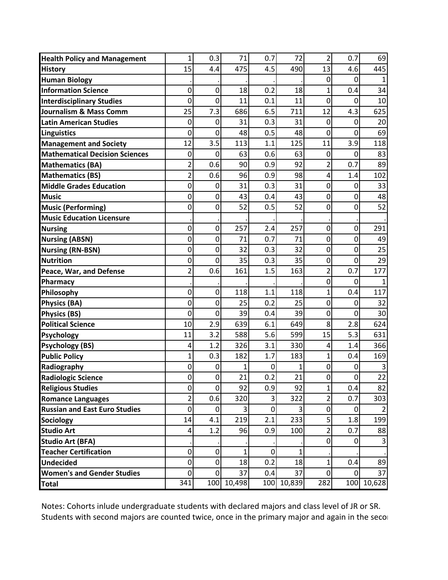| <b>Health Policy and Management</b>   | $\mathbf 1$             | 0.3              | 71      | 0.7 | 72         | 2              | 0.7            | 69     |
|---------------------------------------|-------------------------|------------------|---------|-----|------------|----------------|----------------|--------|
| <b>History</b>                        | 15                      | 4.4              | 475     | 4.5 | 490        | 13             | 4.6            | 445    |
| <b>Human Biology</b>                  |                         |                  |         |     |            | 0              | 0              |        |
| <b>Information Science</b>            | 0                       | 0                | 18      | 0.2 | 18         | 1              | 0.4            | 34     |
| <b>Interdisciplinary Studies</b>      | 0                       | 0                | 11      | 0.1 | 11         | 0              | 0              | 10     |
| Journalism & Mass Comm                | 25                      | 7.3              | 686     | 6.5 | 711        | 12             | 4.3            | 625    |
| <b>Latin American Studies</b>         | 0                       | 0                | 31      | 0.3 | 31         | 0              | 0              | 20     |
| <b>Linguistics</b>                    | 0                       | 0                | 48      | 0.5 | 48         | 0              | 0              | 69     |
| <b>Management and Society</b>         | 12                      | 3.5              | 113     | 1.1 | 125        | 11             | 3.9            | 118    |
| <b>Mathematical Decision Sciences</b> | 0                       | 0                | 63      | 0.6 | 63         | $\mathbf 0$    | 0              | 83     |
| <b>Mathematics (BA)</b>               | $\overline{2}$          | 0.6              | 90      | 0.9 | 92         | 2              | 0.7            | 89     |
| <b>Mathematics (BS)</b>               | $\overline{\mathbf{c}}$ | 0.6              | 96      | 0.9 | 98         | 4              | 1.4            | 102    |
| <b>Middle Grades Education</b>        | 0                       | 0                | 31      | 0.3 | 31         | $\mathbf 0$    | 0              | 33     |
| <b>Music</b>                          | 0                       | 0                | 43      | 0.4 | 43         | 0              | 0              | 48     |
| <b>Music (Performing)</b>             | 0                       | 0                | 52      | 0.5 | 52         | $\mathbf 0$    | 0              | 52     |
| <b>Music Education Licensure</b>      |                         |                  |         |     |            |                |                |        |
| <b>Nursing</b>                        | 0                       | $\boldsymbol{0}$ | 257     | 2.4 | 257        | $\mathbf 0$    | 0              | 291    |
| <b>Nursing (ABSN)</b>                 | 0                       | $\mathbf 0$      | 71      | 0.7 | 71         | $\mathbf 0$    | $\mathbf 0$    | 49     |
| <b>Nursing (RN-BSN)</b>               | 0                       | $\boldsymbol{0}$ | 32      | 0.3 | 32         | $\mathbf 0$    | 0              | 25     |
| <b>Nutrition</b>                      | 0                       | 0                | 35      | 0.3 | 35         | $\mathbf 0$    | 0              | 29     |
| Peace, War, and Defense               | $\overline{\mathbf{c}}$ | 0.6              | 161     | 1.5 | 163        | $\overline{2}$ | 0.7            | 177    |
| Pharmacy                              |                         |                  |         |     |            | 0              | 0              |        |
| Philosophy                            | 0                       | 0                | 118     | 1.1 | 118        | 1              | 0.4            | 117    |
| <b>Physics (BA)</b>                   | 0                       | 0                | 25      | 0.2 | 25         | $\mathbf 0$    | 0              | 32     |
| <b>Physics (BS)</b>                   | 0                       | 0                | 39      | 0.4 | 39         | $\mathbf 0$    | 0              | 30     |
| <b>Political Science</b>              | 10                      | 2.9              | 639     | 6.1 | 649        | 8              | 2.8            | 624    |
| <b>Psychology</b>                     | 11                      | 3.2              | 588     | 5.6 | 599        | 15             | 5.3            | 631    |
| <b>Psychology (BS)</b>                | 4                       | 1.2              | 326     | 3.1 | 330        | 4              | 1.4            | 366    |
| <b>Public Policy</b>                  | 1                       | 0.3              | 182     | 1.7 | 183        | 1              | 0.4            | 169    |
| Radiography                           | 0                       | 0                | 1       | 0   |            | $\mathbf 0$    | 0              |        |
| <b>Radiologic Science</b>             | 0                       | $\mathbf 0$      | 21      | 0.2 | 21         | $\overline{0}$ | $\overline{0}$ | 22     |
| <b>Religious Studies</b>              | 0                       | $\mathbf 0$      | 92      | 0.9 | 92         | 1              | 0.4            | 82     |
| <b>Romance Languages</b>              | $\overline{2}$          | 0.6              | 320     | 3   | 322        | 2              | 0.7            | 303    |
| <b>Russian and East Euro Studies</b>  | 0                       | 0                | $\vert$ | 0   | 3          | $\mathbf 0$    | 0              | 2      |
| Sociology                             | 14                      | 4.1              | 219     | 2.1 | 233        | 5              | 1.8            | 199    |
| <b>Studio Art</b>                     | 4                       | 1.2              | 96      | 0.9 | 100        | 2              | 0.7            | 88     |
| <b>Studio Art (BFA)</b>               |                         |                  |         |     |            | $\mathbf 0$    | $\Omega$       | 3      |
| <b>Teacher Certification</b>          | 0                       | $\mathbf 0$      | 1       | 0   |            |                |                |        |
| <b>Undecided</b>                      | 0                       | 0                | 18      | 0.2 | 18         | 1              | 0.4            | 89     |
| <b>Women's and Gender Studies</b>     | 0                       | $\overline{0}$   | 37      | 0.4 | 37         | $\overline{0}$ | 0              | 37     |
| <b>Total</b>                          | 341                     | 100              | 10,498  |     | 100 10,839 | 282            | 100            | 10,628 |

Notes: Cohorts inlude undergraduate students with declared majors and class level of JR or SR. Students with second majors are counted twice, once in the primary major and again in the secon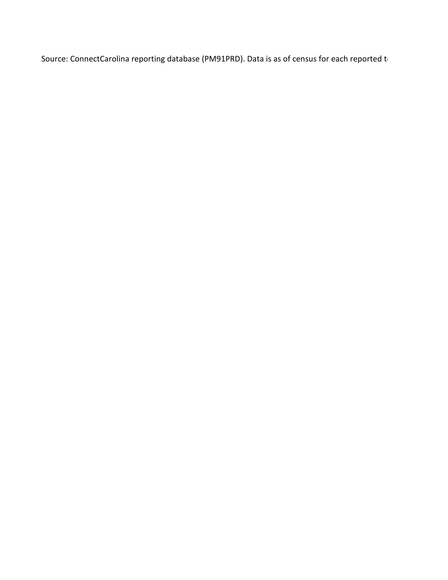Source: ConnectCarolina reporting database (PM91PRD). Data is as of census for each reported to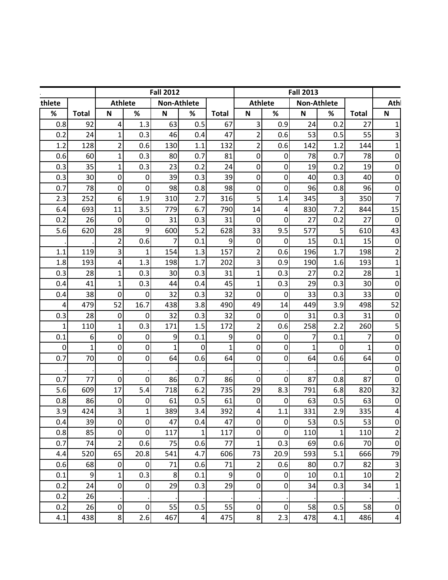|              |                  | <b>Fall 2012</b> |                  |             | <b>Fall 2013</b>                             |                  |                           |                |                           |             |              |                         |
|--------------|------------------|------------------|------------------|-------------|----------------------------------------------|------------------|---------------------------|----------------|---------------------------|-------------|--------------|-------------------------|
| thlete       |                  | <b>Athlete</b>   |                  |             | Non-Athlete<br><b>Athlete</b><br>Non-Athlete |                  |                           | Athl           |                           |             |              |                         |
| $\%$         | <b>Total</b>     | $\mathsf{N}$     | %                | $\mathsf N$ | %                                            | <b>Total</b>     | $\boldsymbol{\mathsf{N}}$ | $\%$           | $\boldsymbol{\mathsf{N}}$ | %           | <b>Total</b> | $\mathsf N$             |
| 0.8          | 92               | 4                | 1.3              | 63          | 0.5                                          | 67               | 3                         | 0.9            | 24                        | 0.2         | 27           | $\mathbf{1}$            |
| 0.2          | 24               | $\mathbf{1}$     | 0.3              | 46          | 0.4                                          | 47               | $\overline{\mathbf{c}}$   | 0.6            | 53                        | 0.5         | 55           | 3                       |
| 1.2          | 128              | $\overline{2}$   | 0.6              | 130         | 1.1                                          | 132              | $\overline{\mathbf{c}}$   | 0.6            | 142                       | 1.2         | 144          | $\mathbf{1}$            |
| 0.6          | 60               | 1                | 0.3              | 80          | 0.7                                          | 81               | $\pmb{0}$                 | $\overline{0}$ | 78                        | 0.7         | 78           | $\pmb{0}$               |
| 0.3          | 35               | 1                | 0.3              | 23          | 0.2                                          | 24               | $\mathbf 0$               | 0              | 19                        | 0.2         | 19           | $\mathbf 0$             |
| 0.3          | 30               | 0                | 0                | 39          | 0.3                                          | 39               | $\mathbf 0$               | $\mathbf 0$    | 40                        | 0.3         | 40           | $\mathbf 0$             |
| 0.7          | 78               | 0                | 0                | 98          | 0.8                                          | 98               | 0                         | 0              | 96                        | 0.8         | 96           | $\mathbf 0$             |
| 2.3          | 252              | 6                | 1.9              | 310         | 2.7                                          | 316              | 5                         | 1.4            | 345                       | 3           | 350          | $\overline{7}$          |
| 6.4          | 693              | 11               | 3.5              | 779         | 6.7                                          | 790              | 14                        | 4              | 830                       | 7.2         | 844          | 15                      |
| 0.2          | 26               | $\mathbf 0$      | 0                | 31          | 0.3                                          | 31               | $\mathbf 0$               | $\mathbf 0$    | 27                        | 0.2         | 27           | $\boldsymbol{0}$        |
| 5.6          | 620              | 28               | 9                | 600         | 5.2                                          | 628              | 33                        | 9.5            | 577                       | 5           | 610          | 43                      |
|              |                  | 2                | 0.6              | 7           | 0.1                                          | 9                | $\mathbf 0$               | 0              | 15                        | 0.1         | 15           | $\mathbf 0$             |
| 1.1          | 119              | 3                | 1                | 154         | 1.3                                          | 157              | $\overline{2}$            | 0.6            | 196                       | 1.7         | 198          | $\overline{2}$          |
| 1.8          | 193              | 4                | 1.3              | 198         | 1.7                                          | 202              | 3                         | 0.9            | 190                       | 1.6         | 193          | $\mathbf{1}$            |
| 0.3          | 28               | 1                | 0.3              | 30          | 0.3                                          | 31               | $\mathbf{1}$              | 0.3            | 27                        | 0.2         | 28           | $\mathbf{1}$            |
| 0.4          | 41               | $\mathbf 1$      | 0.3              | 44          | 0.4                                          | 45               | 1                         | 0.3            | 29                        | 0.3         | 30           | $\mathbf 0$             |
| 0.4          | 38               | 0                | 0                | 32          | 0.3                                          | 32               | $\mathbf 0$               | 0              | 33                        | 0.3         | 33           | $\mathbf 0$             |
| 4            | 479              | 52               | 16.7             | 438         | 3.8                                          | 490              | 49                        | 14             | 449                       | 3.9         | 498          | 52                      |
| 0.3          | 28               | 0                | 0                | 32          | 0.3                                          | 32               | $\mathbf 0$               | 0              | 31                        | 0.3         | 31           | $\boldsymbol{0}$        |
| $\mathbf{1}$ | 110              | $\mathbf{1}$     | 0.3              | 171         | 1.5                                          | 172              | $\overline{\mathbf{c}}$   | 0.6            | 258                       | 2.2         | 260          | 5                       |
| 0.1          | 6                | $\mathbf 0$      | $\boldsymbol{0}$ | 9           | 0.1                                          | 9                | $\pmb{0}$                 | $\mathbf 0$    | 7                         | 0.1         | 7            | $\mathbf 0$             |
| $\mathbf 0$  | $\mathbf{1}$     | $\mathbf 0$      | 0                | 1           | $\mathbf 0$                                  | 1                | $\pmb{0}$                 | $\mathbf 0$    | 1                         | $\mathbf 0$ | $\mathbf{1}$ | $\mathbf 0$             |
| 0.7          | 70               | $\overline{0}$   | $\pmb{0}$        | 64          | 0.6                                          | 64               | $\pmb{0}$                 | $\overline{0}$ | 64                        | 0.6         | 64           | $\pmb{0}$               |
|              |                  |                  |                  |             |                                              |                  |                           |                |                           |             |              | $\mathbf 0$             |
| 0.7          | 77               | 0                | 0                | 86          | 0.7                                          | 86               | 0                         | $\Omega$       | 87                        | 0.8         | 87           | $\mathbf 0$             |
| 5.6          | 609              | 17               | 5.4              | 718         | 6.2                                          | 735              | 29                        | 8.3            | 791                       | 6.8         | 820          | 32                      |
| 0.8          | 86               | $\mathbf 0$      | 0                | 61          | 0.5                                          | 61               | $\mathbf 0$               | $\mathbf 0$    | 63                        | 0.5         | 63           | $\boldsymbol{0}$        |
| 3.9          | 424              | $\vert$ 3        | $\mathbf{1}$     | 389         | 3.4                                          | 392              | 4                         | 1.1            | 331                       | 2.9         | 335          | $\overline{a}$          |
| 0.4          | 39               | 0                | 0                | 47          | 0.4                                          | 47               | $\boldsymbol{0}$          | $\pmb{0}$      | 53                        | 0.5         | 53           | $\boldsymbol{0}$        |
| 0.8          | 85               | $\mathbf 0$      | 0                | 117         | 1                                            | 117              | $\pmb{0}$                 | $\mathbf 0$    | 110                       | 1           | 110          | $\overline{\mathbf{c}}$ |
| 0.7          | 74               | 2                | 0.6              | 75          | 0.6                                          | 77               | 1                         | 0.3            | 69                        | 0.6         | 70           | $\mathbf 0$             |
| 4.4          | 520              | 65               | 20.8             | 541         | 4.7                                          | 606              | 73                        | 20.9           | 593                       | 5.1         | 666          | 79                      |
| 0.6          | 68               | 0                | 0                | 71          | 0.6                                          | 71               | 2                         | 0.6            | 80                        | 0.7         | 82           | 3                       |
| 0.1          | $\boldsymbol{9}$ | 1                | 0.3              | 8           | 0.1                                          | $\boldsymbol{9}$ | $\mathbf 0$               | $\pmb{0}$      | 10                        | 0.1         | 10           | $\overline{c}$          |
| 0.2          | 24               | $\mathbf 0$      | $\pmb{0}$        | 29          | 0.3                                          | 29               | $\boldsymbol{0}$          | $\overline{0}$ | 34                        | 0.3         | 34           | $\mathbf 1$             |
| 0.2          | 26               |                  |                  |             |                                              |                  |                           |                |                           |             |              |                         |
| 0.2          | 26               | 0                | $\boldsymbol{0}$ | 55          | 0.5                                          | 55               | $\mathbf 0$               | $\pmb{0}$      | 58                        | 0.5         | 58           | $\mathbf 0$             |
| 4.1          | 438              | 8 <sup>1</sup>   | 2.6              | 467         | 4                                            | 475              | 8                         | 2.3            | 478                       | 4.1         | 486          | $\pmb{4}$               |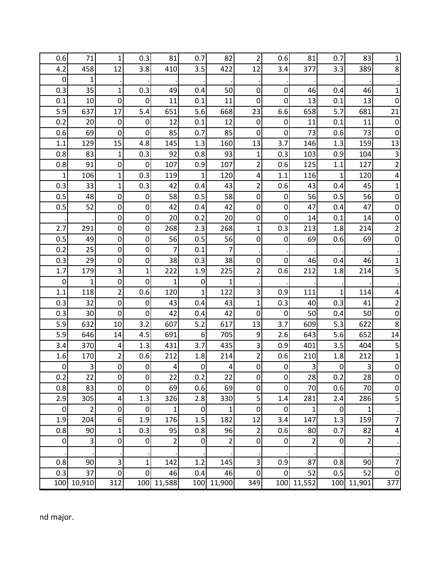| 0.6              | 71             | 1                                  | 0.3              | 81                      | 0.7              | 82             | $\overline{2}$   | 0.6            | 81             | 0.7         | 83             | 1                |
|------------------|----------------|------------------------------------|------------------|-------------------------|------------------|----------------|------------------|----------------|----------------|-------------|----------------|------------------|
| 4.2              | 458            | 12                                 | 3.8              | 410                     | 3.5              | 422            | 12               | 3.4            | 377            | 3.3         | 389            | 8                |
| $\pmb{0}$        | 1              |                                    |                  |                         |                  |                |                  |                |                |             |                |                  |
| 0.3              | 35             | 1                                  | 0.3              | 49                      | 0.4              | 50             | $\boldsymbol{0}$ | 0              | 46             | 0.4         | 46             | 1                |
| 0.1              | 10             | 0                                  | $\mathbf 0$      | 11                      | 0.1              | 11             | 0                | 0              | 13             | 0.1         | 13             | 0                |
| 5.9              | 637            | 17                                 | 5.4              | 651                     | 5.6              | 668            | 23               | 6.6            | 658            | 5.7         | 681            | 21               |
| 0.2              | 20             | $\pmb{0}$                          | $\mathbf 0$      | 12                      | 0.1              | 12             | $\boldsymbol{0}$ | 0              | 11             | 0.1         | 11             | $\boldsymbol{0}$ |
| 0.6              | 69             | $\mathbf 0$                        | $\mathbf 0$      | 85                      | 0.7              | 85             | 0                | $\mathbf{0}$   | 73             | 0.6         | 73             | $\mathbf 0$      |
| 1.1              | 129            | 15                                 | 4.8              | 145                     | 1.3              | 160            | 13               | 3.7            | 146            | 1.3         | 159            | 13               |
| 0.8              | 83             | $\mathbf{1}$                       | 0.3              | 92                      | 0.8              | 93             | $\mathbf{1}$     | 0.3            | 103            | 0.9         | 104            | 3                |
| 0.8              | 91             | $\pmb{0}$                          | $\mathbf 0$      | 107                     | 0.9              | 107            | $\overline{2}$   | 0.6            | 125            | 1.1         | 127            | $\overline{2}$   |
| 1                | 106            | 1                                  | 0.3              | 119                     | $\mathbf{1}$     | 120            | 4                | 1.1            | 116            | $\mathbf 1$ | 120            | 4                |
| 0.3              | 33             | $\mathbf{1}$                       | 0.3              | 42                      | 0.4              | 43             | $\overline{2}$   | 0.6            | 43             | 0.4         | 45             | 1                |
| 0.5              | 48             | $\pmb{0}$                          | $\boldsymbol{0}$ | 58                      | 0.5              | 58             | $\boldsymbol{0}$ | $\mathbf 0$    | 56             | 0.5         | 56             | $\mathbf 0$      |
| 0.5              | 52             | $\pmb{0}$                          | $\boldsymbol{0}$ | 42                      | 0.4              | 42             | $\mathbf 0$      | $\mathbf 0$    | 47             | 0.4         | 47             | $\boldsymbol{0}$ |
|                  |                | $\pmb{0}$                          | $\mathbf 0$      | 20                      | 0.2              | 20             | $\mathbf 0$      | 0              | 14             | 0.1         | 14             | $\boldsymbol{0}$ |
| 2.7              | 291            | $\pmb{0}$                          | $\mathbf 0$      | 268                     | 2.3              | 268            | 1                | 0.3            | 213            | 1.8         | 214            | $\overline{c}$   |
| 0.5              | 49             | $\pmb{0}$                          | $\mathbf 0$      | 56                      | 0.5              | 56             | $\boldsymbol{0}$ | $\mathbf 0$    | 69             | 0.6         | 69             | $\mathbf 0$      |
| 0.2              | 25             | $\mathbf 0$                        | $\mathbf 0$      | 7                       | 0.1              | $\overline{7}$ |                  |                |                |             |                |                  |
| 0.3              | 29             | $\pmb{0}$                          | $\boldsymbol{0}$ | 38                      | 0.3              | 38             | 0                | 0              | 46             | 0.4         | 46             | 1                |
| 1.7              | 179            | 3                                  | $\overline{1}$   | 222                     | 1.9              | 225            | $\overline{2}$   | 0.6            | 212            | 1.8         | 214            | 5                |
| $\boldsymbol{0}$ | 1              | $\pmb{0}$                          | $\mathbf 0$      | $\mathbf{1}$            | $\mathbf 0$      | $\mathbf{1}$   |                  |                |                |             |                |                  |
| 1.1              | 118            | $\overline{2}$                     | 0.6              | 120                     | $\mathbf{1}$     | 122            | 3                | 0.9            | 111            | 1           | 114            | 4                |
| 0.3              | 32             | $\pmb{0}$                          | $\mathbf 0$      | 43                      | 0.4              | 43             | 1                | 0.3            | 40             | 0.3         | 41             | $\overline{2}$   |
| 0.3              | 30             | 0                                  | $\mathbf 0$      | 42                      | 0.4              | 42             | $\mathbf 0$      | $\mathbf 0$    | 50             | 0.4         | 50             | $\mathbf 0$      |
| 5.9              | 632            | 10                                 | 3.2              | 607                     | 5.2              | 617            | 13               | 3.7            | 609            | 5.3         | 622            | 8                |
| 5.9              | 646            | 14                                 | 4.5              | 691                     | $6\,$            | 705            | 9                | 2.6            | 643            | 5.6         | 652            | 14               |
| 3.4              | 370            | 4                                  | 1.3              | 431                     | 3.7              | 435            | 3                | 0.9            | 401            | 3.5         | 404            | 5                |
| 1.6              | 170            | 2                                  | 0.6              | 212                     | 1.8              | 214            | $\overline{2}$   | 0.6            | 210            | 1.8         | 212            | $\mathbf{1}$     |
| $\mathbf 0$      | 3              | 0                                  | $\mathbf 0$      | 4                       | $\boldsymbol{0}$ | 4              | $\boldsymbol{0}$ | 0              | 3              | $\pmb{0}$   | 3              | $\boldsymbol{0}$ |
| 0.2              | 22             | $\overline{0}$                     | $\overline{0}$   | 22                      | 0.2              | 22             | $\overline{0}$   | $\Omega$       | 28             | 0.2         | 28             | $\overline{0}$   |
| 0.8              | 83             | $\mathbf 0$                        | $\mathbf 0$      | 69                      | 0.6              | 69             | $\mathbf 0$      | 0              | 70             | 0.6         | 70             | $\mathbf 0$      |
| 2.9              | 305            | $\pmb{4}$                          | 1.3              | 326                     | 2.8              | 330            | 5                | 1.4            | 281            | 2.4         | 286            | 5                |
| $\mathbf 0$      | $\overline{2}$ | 0                                  | $\mathbf 0$      | $\mathbf 1$             | $\pmb{0}$        | $\mathbf{1}$   | $\boldsymbol{0}$ | $\mathbf 0$    | $\mathbf{1}$   | $\mathbf 0$ | $\mathbf 1$    |                  |
| 1.9              | 204            | 6 <sup>1</sup>                     | 1.9              | 176                     | 1.5              | 182            | 12               | 3.4            | 147            | 1.3         | 159            | $\overline{7}$   |
| 0.8              | 90             | 1                                  | 0.3              | 95                      | 0.8              | 96             | $\overline{2}$   | 0.6            | 80             | 0.7         | 82             | $\overline{a}$   |
| $\boldsymbol{0}$ | 3              | $\pmb{0}$                          | $\boldsymbol{0}$ | $\overline{\mathbf{c}}$ | $\pmb{0}$        | $\overline{2}$ | $\boldsymbol{0}$ | $\mathbf 0$    | $\overline{2}$ | $\mathbf 0$ | $\overline{2}$ |                  |
|                  |                |                                    |                  |                         |                  |                |                  |                |                |             |                |                  |
| 0.8              | 90             | 3                                  | $\mathbf{1}$     | 142                     | 1.2              | 145            | 3                | 0.9            | 87             | 0.8         | 90             | $\overline{7}$   |
| 0.3              | 37             | $\overline{0}$<br>$\overline{3}12$ | $\mathbf 0$      | 46                      | 0.4              | 46             | $\boldsymbol{0}$ | $\overline{0}$ | 52             | 0.5         | 52             | $\boldsymbol{0}$ |
| 100              | 10,910         |                                    | 100              | 11,588                  | 100              | 11,900         | 349              | 100            | 11,552         |             | 100 11,901     | 377              |

nd major.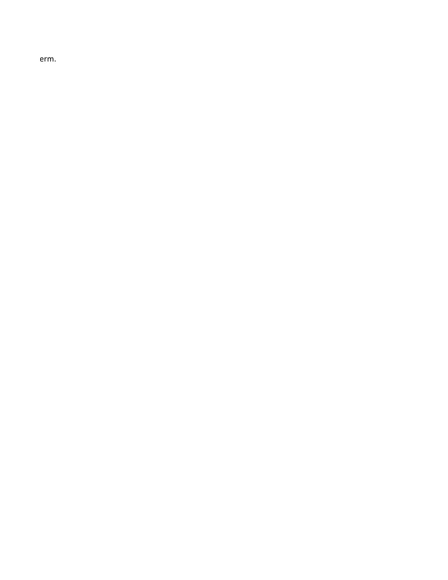erm.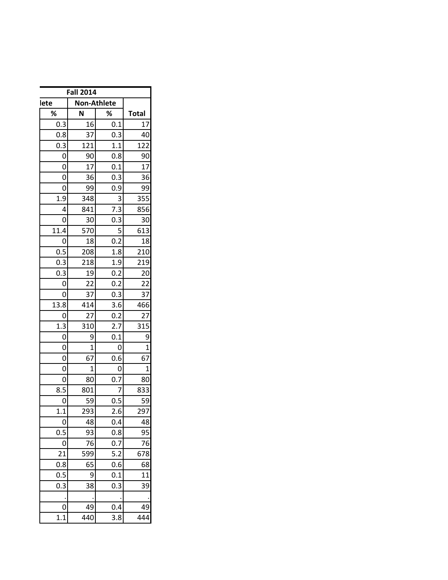| <b>Fall 2014</b>    |                |                  |                |  |  |  |  |  |  |
|---------------------|----------------|------------------|----------------|--|--|--|--|--|--|
| Non-Athlete<br>lete |                |                  |                |  |  |  |  |  |  |
| %                   | N              | ℅                | <b>Total</b>   |  |  |  |  |  |  |
| 0.3                 | 16             | 0.1              | 17             |  |  |  |  |  |  |
| 0.8                 | 37             | 0.3              | 40             |  |  |  |  |  |  |
| 0.3                 | 121            | 1.1              | 122            |  |  |  |  |  |  |
| 0                   | 90             | 0.8              | 90             |  |  |  |  |  |  |
| 0                   | 17             | 0.1              | 17             |  |  |  |  |  |  |
| 0                   | 36             | 0.3              | 36             |  |  |  |  |  |  |
| 0                   | 99             | 0.9              | 99             |  |  |  |  |  |  |
| 1.9                 | 348            | 3                | 355            |  |  |  |  |  |  |
| 4                   | 841            | $7.\overline{3}$ | 856            |  |  |  |  |  |  |
| 0                   | 30             | 0.3              | 30             |  |  |  |  |  |  |
| 11.4                | 570            | 5                | 613            |  |  |  |  |  |  |
| 0                   | 18             | 0.2              | 18             |  |  |  |  |  |  |
| 0.5                 | 208            | 1.8              | 210            |  |  |  |  |  |  |
| $0.\overline{3}$    | 218            | 1.9              | 219            |  |  |  |  |  |  |
| 0.3                 | 19             | 0.2              | 20             |  |  |  |  |  |  |
| 0                   | 22             | 0.2              | 22             |  |  |  |  |  |  |
| 0                   | 37             | 0.3              | 37             |  |  |  |  |  |  |
| 13.8                | 414            | 3.6              | 466            |  |  |  |  |  |  |
| 0                   | 27             | 0.2              | 27             |  |  |  |  |  |  |
| 1.3                 | 310            | 2.7              | 315            |  |  |  |  |  |  |
| 0                   | $\overline{9}$ | 0.1              | 9              |  |  |  |  |  |  |
| 0                   | $\mathbf{1}$   | 0                | $\overline{1}$ |  |  |  |  |  |  |
| 0                   | 67             | 0.6              | 67             |  |  |  |  |  |  |
| $\overline{0}$      | $\mathbf{1}$   | 0                | $\mathbf 1$    |  |  |  |  |  |  |
| 0                   | 80             | 0.7              | 80             |  |  |  |  |  |  |
| 8.5                 | 801            | 7                | 833            |  |  |  |  |  |  |
| 0                   | 59             | 0.5              | 59             |  |  |  |  |  |  |
| 1.1                 | 293            | 2.6              | 297            |  |  |  |  |  |  |
| 0                   | 48             | 0.4              | 48             |  |  |  |  |  |  |
| 0.5                 | 93             | 0.8              | 95             |  |  |  |  |  |  |
| 0                   | 76             | 0.7              | 76             |  |  |  |  |  |  |
| 21                  | 599            | 5.2              | 678            |  |  |  |  |  |  |
| 0.8                 | 65             | 0.6              | 68             |  |  |  |  |  |  |
| 0.5                 | 9              | 0.1              | 11             |  |  |  |  |  |  |
| 0.3                 | 38             | 0.3              | 39             |  |  |  |  |  |  |
|                     |                |                  |                |  |  |  |  |  |  |
| 0                   | 49             | 0.4              | 49             |  |  |  |  |  |  |
| 1.1                 | 440            | 3.8              | 444            |  |  |  |  |  |  |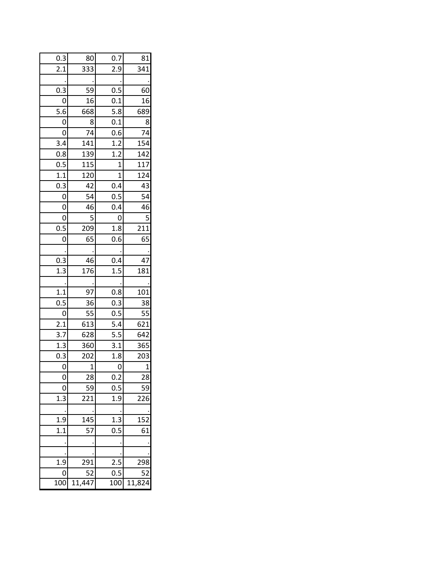| 0.3              | 80       | 0.7              | 81              |
|------------------|----------|------------------|-----------------|
| $2.\overline{1}$ | 333      | 2.9              | 341             |
|                  |          |                  |                 |
| 0.3              | 59       | 0.5              | 60              |
| 0                | 16       | 0.1              | 16              |
| 5.6              | 668      | 5.8              | 689             |
| 0                | 8        | 0.1              | 8               |
| $\overline{0}$   | 74       | 0.6              | 74              |
| 3.4              | 141      | 1.2              | 154             |
| 0.8              | 139      | 1.2              | 142             |
| 0.5              | 115      | $\mathbf{1}$     | 117             |
| 1.1              | 120      | $\mathbf{1}$     | 124             |
| 0.3              | 42       | 0.4              | 43              |
| 0                | 54       | 0.5              | 54              |
| 0                | 46       | 0.4              | 46              |
| 0                | 5        | 0                | 5               |
| 0.5              | 209      | 1.8              | 211             |
| 0                | 65       | 0.6              | 65              |
|                  |          |                  |                 |
| 0.3              | 46       | 0.4              | 47              |
| $\overline{1.3}$ | -<br>176 | 1.5              | 181             |
|                  |          |                  |                 |
| 1.1              | 97       | 0.8              | 101             |
| 0.5              | 36       | $0.\overline{3}$ | 38              |
| $\mathbf 0$      | 55       | 0.5              | 55              |
| 2.1              | 613      | 5.4              | 621             |
| 3.7              | 628      | 5.5              | 642             |
| 1.3              | 360      | 3.1              | 365             |
| 0.3              | 202      | 1.8              | 203             |
| 0                | 1        | 0                | 1               |
| 0                | 28       | $0.\overline{2}$ | 28              |
|                  | 59       | 0.5              | 59              |
| 1.3              | 221      | 1.9              | 226             |
|                  |          |                  |                 |
| 1.9              | 145      | 1.3              | 15 <sub>2</sub> |
| 1.1              | 57       | 0.5              | 61              |
|                  |          |                  |                 |
|                  |          |                  |                 |
| 1.9              | 291      | 2.5              | 298             |
| 0                | 52       | 0.5              | 52              |
| $\overline{1}00$ | 11,447   | 100              | 11,82           |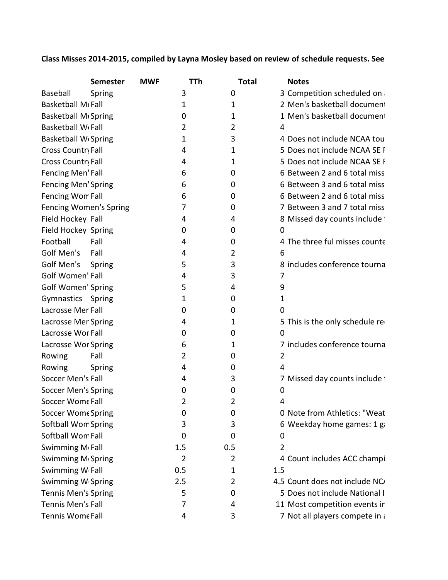# **Class Misses 2014-2015, compiled by Layna Mosley based on review of schedule requests. See**

|                                     | <b>Semester</b> | <b>MWF</b> | TTh | <b>Total</b> | <b>Notes</b>                    |
|-------------------------------------|-----------------|------------|-----|--------------|---------------------------------|
| Baseball                            | Spring          |            | 3   | 0            | 3 Competition scheduled on a    |
| Basketball M <sub>Gall</sub>        |                 |            | 1   | 1            | 2 Men's basketball document     |
| Basketball M <sub>Gpring</sub>      |                 |            | 0   | 1            | 1 Men's basketball document     |
| <b>Basketball W<sub>'</sub>Fall</b> |                 |            | 2   | 2            | 4                               |
| <b>Basketball WGSpring</b>          |                 |            | 1   | 3            | 4 Does not include NCAA tou     |
| Cross Country Fall                  |                 |            | 4   | 1            | 5 Does not include NCAA SE F    |
| Cross Country Fall                  |                 |            | 4   | 1            | 5 Does not include NCAA SE F    |
| <b>Fencing Men'Fall</b>             |                 |            | 6   | 0            | 6 Between 2 and 6 total miss    |
| <b>Fencing Men'Spring</b>           |                 |            | 6   | 0            | 6 Between 3 and 6 total miss    |
| Fencing Wom Fall                    |                 |            | 6   | 0            | 6 Between 2 and 6 total miss    |
| <b>Fencing Women's Spring</b>       |                 |            | 7   | 0            | 7 Between 3 and 7 total miss    |
| Field Hockey Fall                   |                 |            | 4   | 4            | 8 Missed day counts include t   |
| Field Hockey Spring                 |                 |            | 0   | 0            | 0                               |
| Football                            | Fall            |            | 4   | 0            | 4 The three ful misses counte   |
| Golf Men's                          | Fall            |            | 4   | 2            | 6                               |
| Golf Men's                          | Spring          |            | 5   | 3            | 8 includes conference tourna    |
| <b>Golf Women' Fall</b>             |                 |            | 4   | 3            | 7                               |
| <b>Golf Women' Spring</b>           |                 |            | 5   | 4            | 9                               |
| Gymnastics Spring                   |                 |            | 1   | 0            | $\mathbf{1}$                    |
| Lacrosse Mer Fall                   |                 |            | 0   | 0            | 0                               |
| <b>Lacrosse Mer Spring</b>          |                 |            | 4   | 1            | 5 This is the only schedule red |
| Lacrosse Wor Fall                   |                 |            | 0   | 0            | $\mathbf{0}$                    |
| Lacrosse Wor Spring                 |                 |            | 6   | 1            | 7 includes conference tourna    |
| Rowing                              | Fall            |            | 2   | 0            | $\overline{2}$                  |
| Rowing                              | Spring          |            | 4   | 0            | 4                               |
| Soccer Men's Fall                   |                 |            | 4   | 3            | 7 Missed day counts include t   |
| <b>Soccer Men's Spring</b>          |                 |            | 0   | 0            | 0                               |
| Soccer Wome Fall                    |                 |            | 2   | 2            | 4                               |
| Soccer Wome Spring                  |                 |            | 0   | 0            | 0 Note from Athletics: "Weat    |
| Softball Wom Spring                 |                 |            | 3   | 3            | 6 Weekday home games: 1 g       |
| Softball Wom Fall                   |                 |            | 0   | 0            | 0                               |
| Swimming M Fall                     |                 |            | 1.5 | 0.5          | 2                               |
| Swimming M Spring                   |                 |            | 2   | 2            | 4 Count includes ACC champi     |
| Swimming W Fall                     |                 |            | 0.5 | 1            | 1.5                             |
| Swimming W Spring                   |                 |            | 2.5 | 2            | 4.5 Count does not include NC/  |
| <b>Tennis Men's Spring</b>          |                 |            | 5   | 0            | 5 Does not include National I   |
| Tennis Men's Fall                   |                 |            | 7   | 4            | 11 Most competition events in   |
| Tennis Wome Fall                    |                 |            | 4   | 3            | 7 Not all players compete in a  |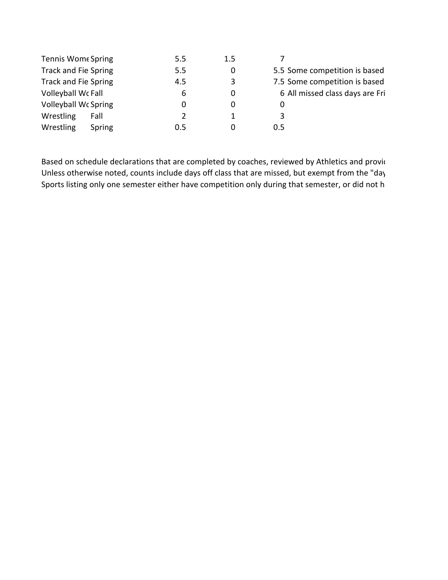| <b>Tennis Wome Spring</b>   |        | 5.5 | 1.5 |     |                                 |
|-----------------------------|--------|-----|-----|-----|---------------------------------|
| Track and Fie Spring        |        | 5.5 |     |     | 5.5 Some competition is based   |
| <b>Track and Fie Spring</b> |        | 4.5 | 3   |     | 7.5 Some competition is based   |
| Volleyball WcFall           |        | 6   | 0   |     | 6 All missed class days are Fri |
| <b>Volleyball Wc Spring</b> |        |     |     | 0   |                                 |
| Wrestling                   | Fall   |     |     | 3   |                                 |
| Wrestling                   | Spring | 0.5 |     | 0.5 |                                 |

Based on schedule declarations that are completed by coaches, reviewed by Athletics and provid Unless otherwise noted, counts include days off class that are missed, but exempt from the "day Sports listing only one semester either have competition only during that semester, or did not h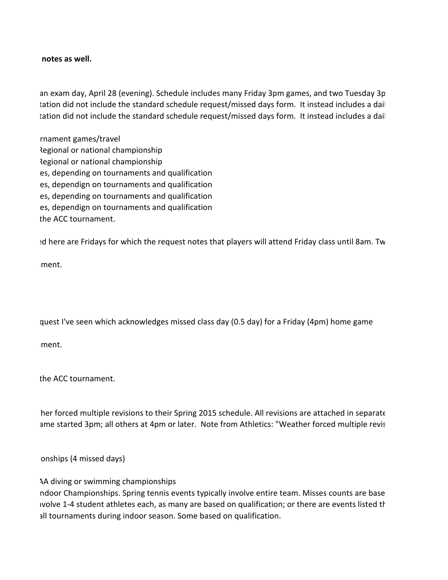#### **notes as well.**

 an exam day, April 28 (evening). Schedule includes many Friday 3pm games, and two Tuesday 3p tation did not include the standard schedule request/missed days form. It instead includes a dail tation did not include the standard schedule request/missed days form. It instead includes a dail

 rnament games/travel Regional or national championship Regional or national championship es, depending on tournaments and qualification es, dependign on tournaments and qualification es, depending on tournaments and qualification es, dependign on tournaments and qualification the ACC tournament.

ed here are Fridays for which the request notes that players will attend Friday class until 8am. Tw

ament.

quest I've seen which acknowledges missed class day (0.5 day) for a Friday (4pm) home game

ament.

the ACC tournament.

 ther forced multiple revisions to their Spring 2015 schedule. All revisions are attached in separate ame started 3pm; all others at 4pm or later. Note from Athletics: "Weather forced multiple revis

onships (4 missed days)

AA diving or swimming championships

 ndoor Championships. Spring tennis events typically involve entire team. Misses counts are base nvolve 1-4 student athletes each, as many are based on qualification; or there are events listed th all tournaments during indoor season. Some based on qualification.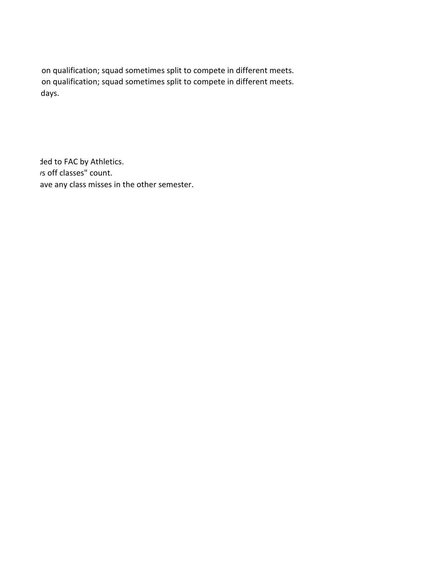on qualification; squad sometimes split to compete in different meets. on qualification; squad sometimes split to compete in different meets. idays.

 ded to FAC by Athletics. ys off classes" count. ave any class misses in the other semester.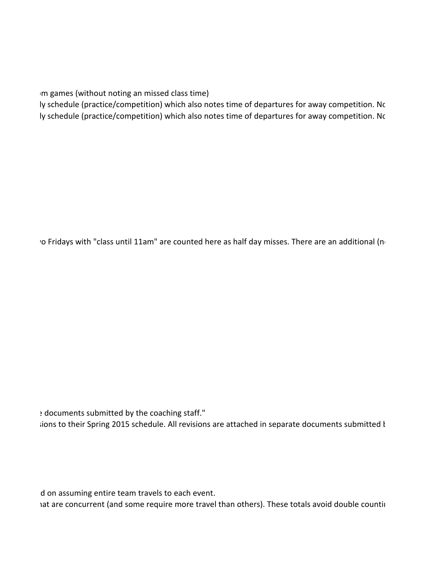pm games (without noting an missed class time)

ly schedule (practice/competition) which also notes time of departures for away competition. No ly schedule (practice/competition) which also notes time of departures for away competition. No

ro Fridays with "class until 11am" are counted here as half day misses. There are an additional (no

 e documents submitted by the coaching staff." sions to their Spring 2015 schedule. All revisions are attached in separate documents submitted k

d on assuming entire team travels to each event.

hat are concurrent (and some require more travel than others). These totals avoid double countin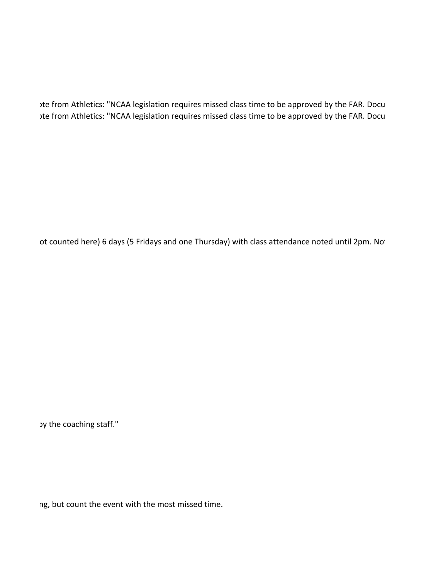ote from Athletics: "NCAA legislation requires missed class time to be approved by the FAR. Docu ote from Athletics: "NCAA legislation requires missed class time to be approved by the FAR. Docu

ot counted here) 6 days (5 Fridays and one Thursday) with class attendance noted until 2pm. Not

by the coaching staff."

ng, but count the event with the most missed time.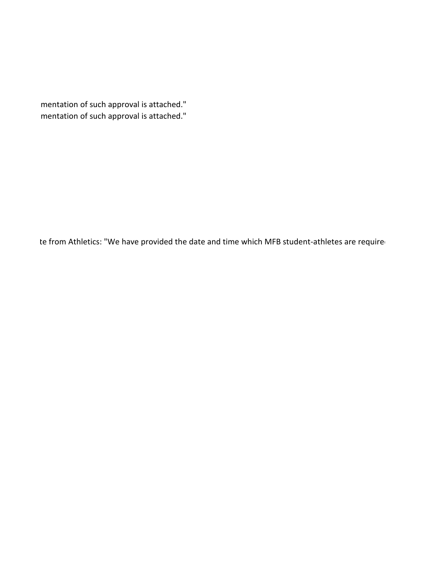mentation of such approval is attached." mentation of such approval is attached."

te from Athletics: "We have provided the date and time which MFB student-athletes are required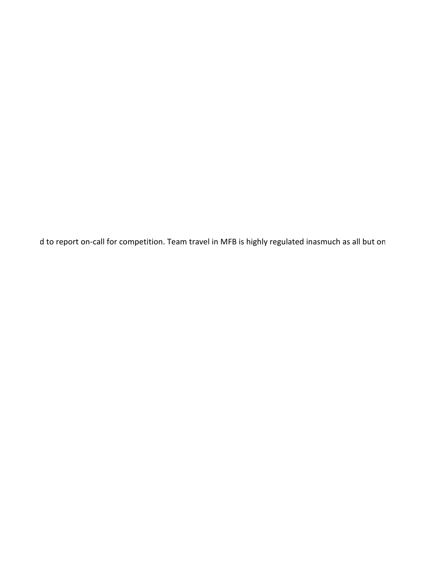d to report on-call for competition. Team travel in MFB is highly regulated inasmuch as all but on